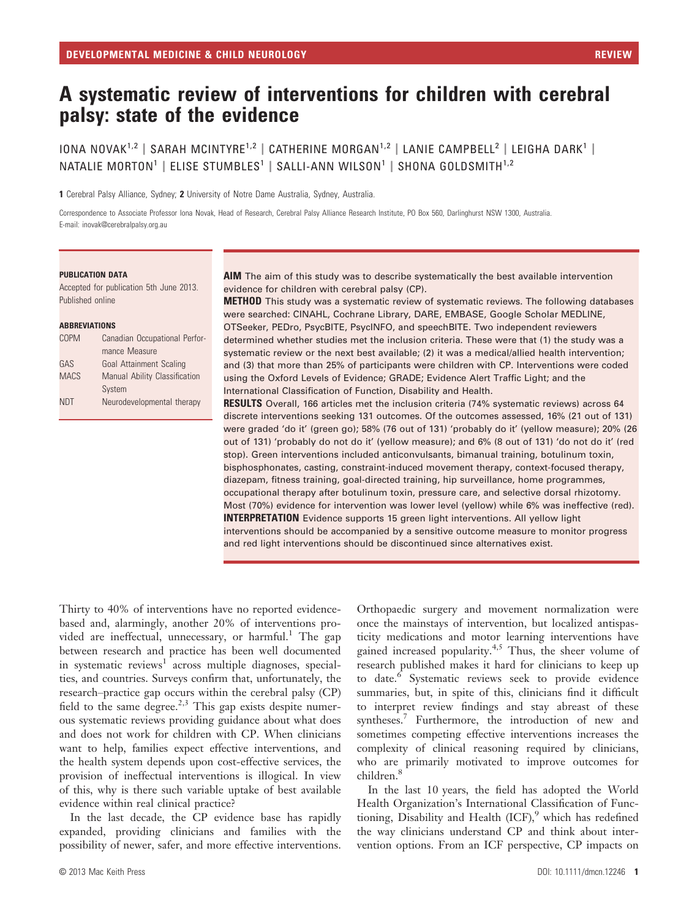# A systematic review of interventions for children with cerebral palsy: state of the evidence

IONA NOVAK<sup>1,2</sup> | SARAH MCINTYRE<sup>1,2</sup> | CATHERINE MORGAN<sup>1,2</sup> | LANIE CAMPBELL<sup>2</sup> | LEIGHA DARK<sup>1</sup> | NATALIE MORTON<sup>1</sup> | ELISE STUMBLES<sup>1</sup> | SALLI-ANN WILSON<sup>1</sup> | SHONA GOLDSMITH<sup>1,2</sup>

1 Cerebral Palsy Alliance, Sydney; 2 University of Notre Dame Australia, Sydney, Australia.

Correspondence to Associate Professor Iona Novak, Head of Research, Cerebral Palsy Alliance Research Institute, PO Box 560, Darlinghurst NSW 1300, Australia. E-mail: inovak@cerebralpalsy.org.au

#### PUBLICATION DATA

Accepted for publication 5th June 2013. Published online

#### **ABBREVIATIONS**

| <b>COPM</b> | Canadian Occupational Perfor-  |
|-------------|--------------------------------|
|             | mance Measure                  |
| GAS         | <b>Goal Attainment Scaling</b> |
| <b>MACS</b> | Manual Ability Classification  |
|             | System                         |
| <b>NDT</b>  | Neurodevelopmental therapy     |

AIM The aim of this study was to describe systematically the best available intervention evidence for children with cerebral palsy (CP).

**METHOD** This study was a systematic review of systematic reviews. The following databases were searched: CINAHL, Cochrane Library, DARE, EMBASE, Google Scholar MEDLINE, OTSeeker, PEDro, PsycBITE, PsycINFO, and speechBITE. Two independent reviewers determined whether studies met the inclusion criteria. These were that (1) the study was a systematic review or the next best available; (2) it was a medical/allied health intervention; and (3) that more than 25% of participants were children with CP. Interventions were coded using the Oxford Levels of Evidence; GRADE; Evidence Alert Traffic Light; and the International Classification of Function, Disability and Health.

RESULTS Overall, 166 articles met the inclusion criteria (74% systematic reviews) across 64 discrete interventions seeking 131 outcomes. Of the outcomes assessed, 16% (21 out of 131) were graded 'do it' (green go); 58% (76 out of 131) 'probably do it' (yellow measure); 20% (26 out of 131) 'probably do not do it' (yellow measure); and 6% (8 out of 131) 'do not do it' (red stop). Green interventions included anticonvulsants, bimanual training, botulinum toxin, bisphosphonates, casting, constraint-induced movement therapy, context-focused therapy, diazepam, fitness training, goal-directed training, hip surveillance, home programmes, occupational therapy after botulinum toxin, pressure care, and selective dorsal rhizotomy. Most (70%) evidence for intervention was lower level (yellow) while 6% was ineffective (red). INTERPRETATION Evidence supports 15 green light interventions. All yellow light interventions should be accompanied by a sensitive outcome measure to monitor progress and red light interventions should be discontinued since alternatives exist.

Thirty to 40% of interventions have no reported evidencebased and, alarmingly, another 20% of interventions provided are ineffectual, unnecessary, or harmful.<sup>1</sup> The gap between research and practice has been well documented in systematic reviews<sup>1</sup> across multiple diagnoses, specialties, and countries. Surveys confirm that, unfortunately, the research–practice gap occurs within the cerebral palsy (CP) field to the same degree.<sup>2,3</sup> This gap exists despite numerous systematic reviews providing guidance about what does and does not work for children with CP. When clinicians want to help, families expect effective interventions, and the health system depends upon cost-effective services, the provision of ineffectual interventions is illogical. In view of this, why is there such variable uptake of best available evidence within real clinical practice?

In the last decade, the CP evidence base has rapidly expanded, providing clinicians and families with the possibility of newer, safer, and more effective interventions.

Orthopaedic surgery and movement normalization were once the mainstays of intervention, but localized antispasticity medications and motor learning interventions have gained increased popularity.<sup>4,5</sup> Thus, the sheer volume of research published makes it hard for clinicians to keep up to date.<sup>6</sup> Systematic reviews seek to provide evidence summaries, but, in spite of this, clinicians find it difficult to interpret review findings and stay abreast of these syntheses.<sup>7</sup> Furthermore, the introduction of new and sometimes competing effective interventions increases the complexity of clinical reasoning required by clinicians, who are primarily motivated to improve outcomes for children.<sup>8</sup>

In the last 10 years, the field has adopted the World Health Organization's International Classification of Functioning, Disability and Health  ${(\text{ICF})}^9$  which has redefined the way clinicians understand CP and think about intervention options. From an ICF perspective, CP impacts on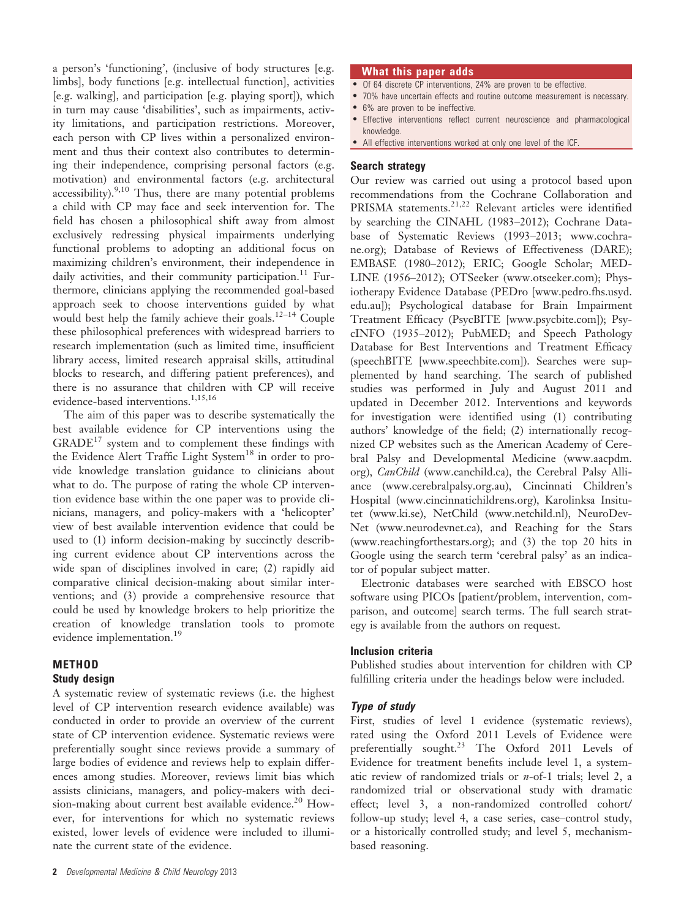a person's 'functioning', (inclusive of body structures [e.g. limbs], body functions [e.g. intellectual function], activities [e.g. walking], and participation [e.g. playing sport]), which in turn may cause 'disabilities', such as impairments, activity limitations, and participation restrictions. Moreover, each person with CP lives within a personalized environment and thus their context also contributes to determining their independence, comprising personal factors (e.g. motivation) and environmental factors (e.g. architectural accessibility). $9,10$  Thus, there are many potential problems a child with CP may face and seek intervention for. The field has chosen a philosophical shift away from almost exclusively redressing physical impairments underlying functional problems to adopting an additional focus on maximizing children's environment, their independence in daily activities, and their community participation.<sup>11</sup> Furthermore, clinicians applying the recommended goal-based approach seek to choose interventions guided by what would best help the family achieve their goals.<sup>12-14</sup> Couple these philosophical preferences with widespread barriers to research implementation (such as limited time, insufficient library access, limited research appraisal skills, attitudinal blocks to research, and differing patient preferences), and there is no assurance that children with CP will receive evidence-based interventions.<sup>1,15,16</sup>

The aim of this paper was to describe systematically the best available evidence for CP interventions using the  $GRADE<sup>17</sup>$  system and to complement these findings with the Evidence Alert Traffic Light System<sup>18</sup> in order to provide knowledge translation guidance to clinicians about what to do. The purpose of rating the whole CP intervention evidence base within the one paper was to provide clinicians, managers, and policy-makers with a 'helicopter' view of best available intervention evidence that could be used to (1) inform decision-making by succinctly describing current evidence about CP interventions across the wide span of disciplines involved in care; (2) rapidly aid comparative clinical decision-making about similar interventions; and (3) provide a comprehensive resource that could be used by knowledge brokers to help prioritize the creation of knowledge translation tools to promote evidence implementation.<sup>19</sup>

# **METHOD**

### Study design

A systematic review of systematic reviews (i.e. the highest level of CP intervention research evidence available) was conducted in order to provide an overview of the current state of CP intervention evidence. Systematic reviews were preferentially sought since reviews provide a summary of large bodies of evidence and reviews help to explain differences among studies. Moreover, reviews limit bias which assists clinicians, managers, and policy-makers with decision-making about current best available evidence.<sup>20</sup> However, for interventions for which no systematic reviews existed, lower levels of evidence were included to illuminate the current state of the evidence.

### What this paper adds

- Of 64 discrete CP interventions, 24% are proven to be effective.
- 70% have uncertain effects and routine outcome measurement is necessary.
- 6% are proven to be ineffective.
- Effective interventions reflect current neuroscience and pharmacological knowledge.
- All effective interventions worked at only one level of the ICF.

### Search strategy

Our review was carried out using a protocol based upon recommendations from the Cochrane Collaboration and PRISMA statements.<sup>21,22</sup> Relevant articles were identified by searching the CINAHL (1983–2012); Cochrane Database of Systematic Reviews (1993–2013; www.cochrane.org); Database of Reviews of Effectiveness (DARE); EMBASE (1980–2012); ERIC; Google Scholar; MED-LINE (1956–2012); OTSeeker (www.otseeker.com); Physiotherapy Evidence Database (PEDro [www.pedro.fhs.usyd. edu.au]); Psychological database for Brain Impairment Treatment Efficacy (PsycBITE [www.psycbite.com]); PsycINFO (1935–2012); PubMED; and Speech Pathology Database for Best Interventions and Treatment Efficacy (speechBITE [www.speechbite.com]). Searches were supplemented by hand searching. The search of published studies was performed in July and August 2011 and updated in December 2012. Interventions and keywords for investigation were identified using (1) contributing authors' knowledge of the field; (2) internationally recognized CP websites such as the American Academy of Cerebral Palsy and Developmental Medicine (www.aacpdm. org), CanChild (www.canchild.ca), the Cerebral Palsy Alliance (www.cerebralpalsy.org.au), Cincinnati Children's Hospital (www.cincinnatichildrens.org), Karolinksa Insitutet (www.ki.se), NetChild (www.netchild.nl), NeuroDev-Net (www.neurodevnet.ca), and Reaching for the Stars (www.reachingforthestars.org); and (3) the top 20 hits in Google using the search term 'cerebral palsy' as an indicator of popular subject matter.

Electronic databases were searched with EBSCO host software using PICOs [patient/problem, intervention, comparison, and outcome] search terms. The full search strategy is available from the authors on request.

### Inclusion criteria

Published studies about intervention for children with CP fulfilling criteria under the headings below were included.

### Type of study

First, studies of level 1 evidence (systematic reviews), rated using the Oxford 2011 Levels of Evidence were preferentially sought.<sup>23</sup> The Oxford 2011 Levels of Evidence for treatment benefits include level 1, a systematic review of randomized trials or n-of-1 trials; level 2, a randomized trial or observational study with dramatic effect; level 3, a non-randomized controlled cohort/ follow-up study; level 4, a case series, case–control study, or a historically controlled study; and level 5, mechanismbased reasoning.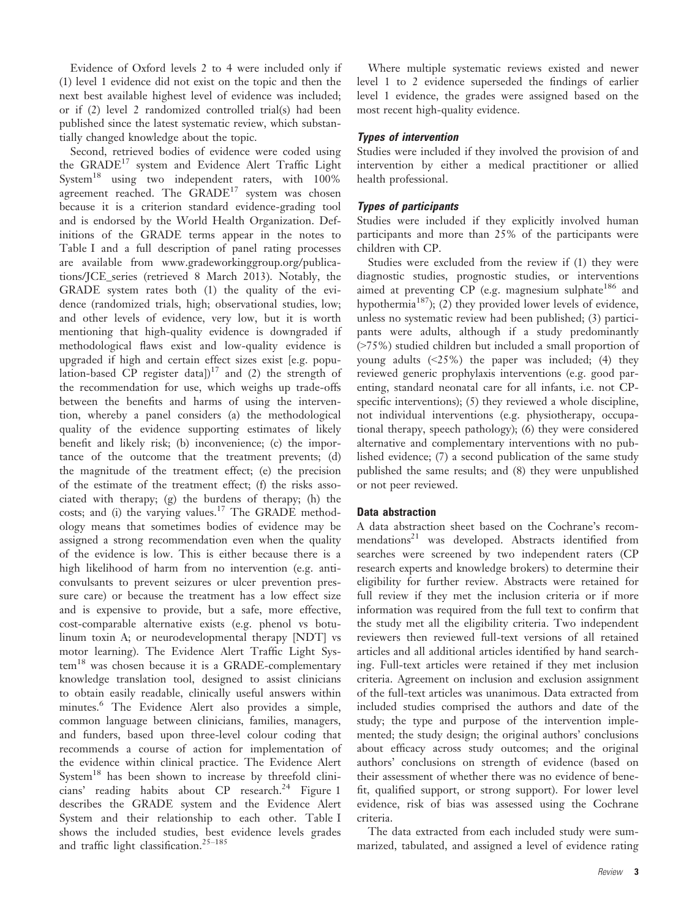Evidence of Oxford levels 2 to 4 were included only if (1) level 1 evidence did not exist on the topic and then the next best available highest level of evidence was included; or if (2) level 2 randomized controlled trial(s) had been published since the latest systematic review, which substantially changed knowledge about the topic.

Second, retrieved bodies of evidence were coded using the GRADE<sup>17</sup> system and Evidence Alert Traffic Light System<sup>18</sup> using two independent raters, with  $100\%$ agreement reached. The  $GRADE^{17}$  system was chosen because it is a criterion standard evidence-grading tool and is endorsed by the World Health Organization. Definitions of the GRADE terms appear in the notes to Table I and a full description of panel rating processes are available from www.gradeworkinggroup.org/publications/JCE\_series (retrieved 8 March 2013). Notably, the GRADE system rates both (1) the quality of the evidence (randomized trials, high; observational studies, low; and other levels of evidence, very low, but it is worth mentioning that high-quality evidence is downgraded if methodological flaws exist and low-quality evidence is upgraded if high and certain effect sizes exist [e.g. population-based CP register data]) $17$  and (2) the strength of the recommendation for use, which weighs up trade-offs between the benefits and harms of using the intervention, whereby a panel considers (a) the methodological quality of the evidence supporting estimates of likely benefit and likely risk; (b) inconvenience; (c) the importance of the outcome that the treatment prevents; (d) the magnitude of the treatment effect; (e) the precision of the estimate of the treatment effect; (f) the risks associated with therapy; (g) the burdens of therapy; (h) the costs; and (i) the varying values. $17$  The GRADE methodology means that sometimes bodies of evidence may be assigned a strong recommendation even when the quality of the evidence is low. This is either because there is a high likelihood of harm from no intervention (e.g. anticonvulsants to prevent seizures or ulcer prevention pressure care) or because the treatment has a low effect size and is expensive to provide, but a safe, more effective, cost-comparable alternative exists (e.g. phenol vs botulinum toxin A; or neurodevelopmental therapy [NDT] vs motor learning). The Evidence Alert Traffic Light System18 was chosen because it is a GRADE-complementary knowledge translation tool, designed to assist clinicians to obtain easily readable, clinically useful answers within minutes.<sup>6</sup> The Evidence Alert also provides a simple, common language between clinicians, families, managers, and funders, based upon three-level colour coding that recommends a course of action for implementation of the evidence within clinical practice. The Evidence Alert System<sup>18</sup> has been shown to increase by threefold clinicians' reading habits about CP research.<sup>24</sup> Figure 1 describes the GRADE system and the Evidence Alert System and their relationship to each other. Table I shows the included studies, best evidence levels grades and traffic light classification.<sup>25-185</sup>

Where multiple systematic reviews existed and newer level 1 to 2 evidence superseded the findings of earlier level 1 evidence, the grades were assigned based on the most recent high-quality evidence.

### Types of intervention

Studies were included if they involved the provision of and intervention by either a medical practitioner or allied health professional.

### Types of participants

Studies were included if they explicitly involved human participants and more than 25% of the participants were children with CP.

Studies were excluded from the review if (1) they were diagnostic studies, prognostic studies, or interventions aimed at preventing CP (e.g. magnesium sulphate<sup>186</sup> and hypothermia<sup>187</sup>); (2) they provided lower levels of evidence, unless no systematic review had been published; (3) participants were adults, although if a study predominantly (>75%) studied children but included a small proportion of young adults (<25%) the paper was included; (4) they reviewed generic prophylaxis interventions (e.g. good parenting, standard neonatal care for all infants, i.e. not CPspecific interventions); (5) they reviewed a whole discipline, not individual interventions (e.g. physiotherapy, occupational therapy, speech pathology); (6) they were considered alternative and complementary interventions with no published evidence; (7) a second publication of the same study published the same results; and (8) they were unpublished or not peer reviewed.

### Data abstraction

A data abstraction sheet based on the Cochrane's recommendations<sup>21</sup> was developed. Abstracts identified from searches were screened by two independent raters (CP research experts and knowledge brokers) to determine their eligibility for further review. Abstracts were retained for full review if they met the inclusion criteria or if more information was required from the full text to confirm that the study met all the eligibility criteria. Two independent reviewers then reviewed full-text versions of all retained articles and all additional articles identified by hand searching. Full-text articles were retained if they met inclusion criteria. Agreement on inclusion and exclusion assignment of the full-text articles was unanimous. Data extracted from included studies comprised the authors and date of the study; the type and purpose of the intervention implemented; the study design; the original authors' conclusions about efficacy across study outcomes; and the original authors' conclusions on strength of evidence (based on their assessment of whether there was no evidence of benefit, qualified support, or strong support). For lower level evidence, risk of bias was assessed using the Cochrane criteria.

The data extracted from each included study were summarized, tabulated, and assigned a level of evidence rating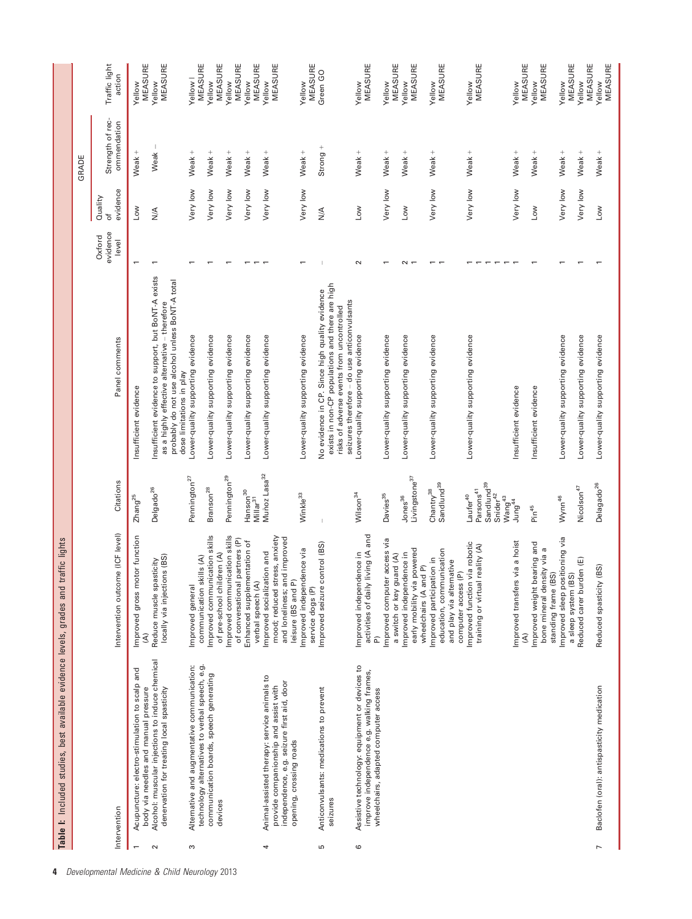|        | <b>Table I:</b> Included studies, best available evidence levels, grades and traffic lights                                                                   |                                                                                                                   |                                                                                        |                                                                                                                                                                                               |                    |               |                  |                            |
|--------|---------------------------------------------------------------------------------------------------------------------------------------------------------------|-------------------------------------------------------------------------------------------------------------------|----------------------------------------------------------------------------------------|-----------------------------------------------------------------------------------------------------------------------------------------------------------------------------------------------|--------------------|---------------|------------------|----------------------------|
|        |                                                                                                                                                               |                                                                                                                   |                                                                                        |                                                                                                                                                                                               |                    |               | GRADE            |                            |
|        |                                                                                                                                                               |                                                                                                                   |                                                                                        |                                                                                                                                                                                               | evidence<br>Oxford | Quality<br>đ  | Strength of rec- | Traffic light              |
|        | Intervention                                                                                                                                                  | Intervention outcome (ICF level)                                                                                  | Citations                                                                              | Panel comments                                                                                                                                                                                | level              | evidence      | ommendation      | action                     |
|        | Acupuncture: electro-stimulation to scalp and<br>body via needles and manual pressure                                                                         | otor function<br>Improved gross mo                                                                                | $Z$ hang $^{25}$                                                                       | Insufficient evidence                                                                                                                                                                         |                    | Low           | $Weak +$         | <b>MEASURE</b><br>Yellow   |
| $\sim$ | Alcohol: muscular injections to induce chemical<br>denervation for treating local spasticity                                                                  | locally via injections (BS)<br>Reduce muscle spasticity                                                           | Delgado <sup>26</sup>                                                                  | Insufficient evidence to support, but BoNT-A exists<br>probably do not use alcohol unless BoNT-A total<br>as a highly effective alternative - therefore<br>dose limitations in play           |                    | $\frac{4}{2}$ | Weak             | <b>MEASURE</b><br>Yellow   |
| S      | technology alternatives to verbal speech, e.g.<br>Alternative and augmentative communication:                                                                 | communication skills (A)<br>Improved general                                                                      | Pennington <sup>27</sup>                                                               | Lower-quality supporting evidence                                                                                                                                                             |                    | Very low      | Weak $+$         | <b>MEASURE</b><br>Yellow I |
|        | communication boards, speech generating<br>devices                                                                                                            | Improved communication skills<br>of pre-school children (A)                                                       | Branson <sup>28</sup>                                                                  | Lower-quality supporting evidence                                                                                                                                                             |                    | Very low      | $^{+}$<br>Weak   | MEASURE<br>Yellow          |
|        |                                                                                                                                                               | Improved communication skills<br>partners (P)<br>of conversational                                                | Pennington <sup>29</sup>                                                               | Lower-quality supporting evidence                                                                                                                                                             |                    | Very low      | $Weak +$         | MEASURE<br>Yellow          |
|        |                                                                                                                                                               | Enhanced supplementation of<br>verbal speech (A)                                                                  | Hanson <sup>30</sup><br>Millar <sup>31</sup>                                           | Lower-quality supporting evidence                                                                                                                                                             |                    | Very low      | Weak +           | MEASURE<br>Yellow          |
| 4      | Animal-assisted therapy: service animals to<br>independence, e.g. seizure first aid, door<br>provide companionship and assist with<br>opening, crossing roads | mood; reduced stress, anxiety<br>and loneliness; and improved<br>leisure (BS and P)<br>Improved socialization and | Muñoz Lasa <sup>32</sup>                                                               | Lower-quality supporting evidence                                                                                                                                                             |                    | Very low      | Weak +           | MEASURE<br>Yellow          |
|        |                                                                                                                                                               | Improved independence via<br>service dogs (P)                                                                     | Winkle <sup>33</sup>                                                                   | Lower-quality supporting evidence                                                                                                                                                             |                    | Very low      | Weak +           | <b>MEASURE</b><br>Yellow   |
| Б      | Anticonvulsants: medications to prevent<br>seizures                                                                                                           | mproved seizure control (BS)                                                                                      |                                                                                        | exists in non-CP populations and there are high<br>No evidence in CP. Since high quality evidence<br>seizures therefore - do use anticonvulsants<br>risks of adverse events from uncontrolled |                    | ≸             | $strong +$       | Green GO                   |
| ဖ      | Assistive technology: equipment or devices to<br>improve independence e.g. walking frames,<br>wheelchairs, adapted computer access                            | living (A and<br>Improved independence in<br>activities of daily                                                  | Wilson <sup>34</sup>                                                                   | Lower-quality supporting evidence                                                                                                                                                             | $\sim$             | $\sim$        | $Weak +$         | <b>MEASURE</b><br>Yellow   |
|        |                                                                                                                                                               | Improved computer access via<br>a switch or key guard (A)                                                         | Davies <sup>35</sup>                                                                   | Lower-quality supporting evidence                                                                                                                                                             |                    | Very low      | $^{+}$<br>Weak   | <b>MEASURE</b><br>Yellow   |
|        |                                                                                                                                                               | early mobility via powered<br>Improved independence in<br>wheelchairs (A and P)                                   | Livingstone <sup>37</sup><br>Jones <sup>36</sup>                                       | Lower-quality supporting evidence                                                                                                                                                             | $\sim$             | Low           | Weak             | <b>MEASURE</b><br>Yellow   |
|        |                                                                                                                                                               | education, communication<br>Improved participation in<br>and play via alternative<br>ê<br>computer access         | Sandlund <sup>39</sup><br>Chantry <sup>38</sup>                                        | Lower-quality supporting evidence                                                                                                                                                             |                    | Very low      | Weak $+$         | <b>MEASURE</b><br>Yellow   |
|        |                                                                                                                                                               | via robotic<br>reality (A)<br>training or virtual<br>Improved function                                            | Sandlund <sup>39</sup><br>Parsons <sup>41</sup><br>Snider $42$<br>Laufer <sup>40</sup> | Lower-quality supporting evidence                                                                                                                                                             |                    | Very low      | Weak $+$         | <b>MEASURE</b><br>Yellow   |
|        |                                                                                                                                                               | via a hoist<br>Improved transfers<br>₹                                                                            | $W$ ang $^{43}$ Jung $^{44}$                                                           | Insufficient evidence                                                                                                                                                                         |                    | Very low      | Weak +           | <b>MEASURE</b><br>Yellow   |
|        |                                                                                                                                                               | Improved weight bearing and<br>bone mineral density via a<br>standing frame (BS)                                  | Pin <sup>45</sup>                                                                      | Insufficient evidence                                                                                                                                                                         |                    | Low           | Weak +           | <b>MEASURE</b><br>Yellow   |
|        |                                                                                                                                                               | Improved sleep positioning via                                                                                    | $W$ ynn <sup>46</sup>                                                                  | Lower-quality supporting evidence                                                                                                                                                             |                    | Very low      | $Weak +$         | MEASURE<br>Yellow          |
|        |                                                                                                                                                               | a sleep system (BS)<br>Reduced carer burden (E)                                                                   | Nicolson <sup>47</sup>                                                                 | Lower-quality supporting evidence                                                                                                                                                             |                    | Very low      | $Weak +$         | MEASURE<br>Yellow          |
|        | Baclofen (oral): antispasticity medication                                                                                                                    | (BS)<br>Reduced spasticity                                                                                        | Delagado <sup>26</sup>                                                                 | Lower-quality supporting evidence                                                                                                                                                             |                    | Low           | Weak +           | Yellow<br>MEASURE          |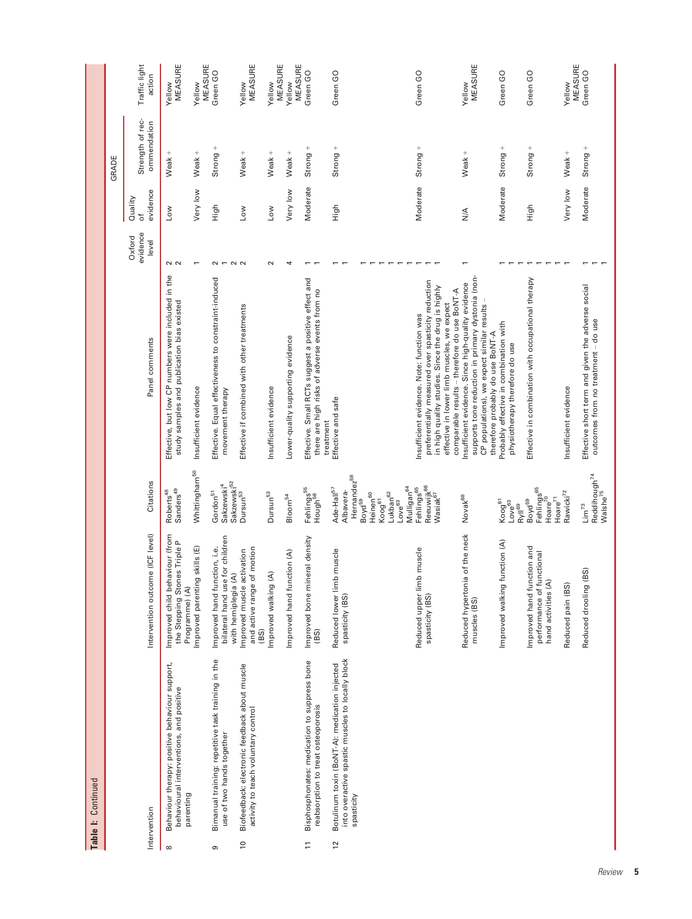|          | Table I: Continued                                                                                              |                                                                                          |                                                                                                                                                                                  |                                                                                                                                                                                                                                          |                             |                          |                                 |                          |
|----------|-----------------------------------------------------------------------------------------------------------------|------------------------------------------------------------------------------------------|----------------------------------------------------------------------------------------------------------------------------------------------------------------------------------|------------------------------------------------------------------------------------------------------------------------------------------------------------------------------------------------------------------------------------------|-----------------------------|--------------------------|---------------------------------|--------------------------|
|          |                                                                                                                 |                                                                                          |                                                                                                                                                                                  |                                                                                                                                                                                                                                          |                             |                          | GRADE                           |                          |
|          | Intervention                                                                                                    | Intervention outcome (ICF level)                                                         | Citations                                                                                                                                                                        | Panel comments                                                                                                                                                                                                                           | evidence<br>Oxford<br>level | evidence<br>Quality<br>৳ | Strength of rec-<br>ommendation | Traffic light<br>action  |
| $\infty$ | Behaviour therapy: positive behaviour support,<br>behavioural interventions, and positive<br>parenting          | aviour (from<br>es Triple P<br>Improved child beh<br>the Stepping Ston<br>Programme) (A) | Sanders <sup>49</sup><br>Roberts <sup>48</sup>                                                                                                                                   | Effective, but low CP numbers were included in the<br>study samples and publication bias existed                                                                                                                                         | $\sim$ $\sim$               | Low                      | $Weak +$                        | <b>MEASURE</b><br>Yellow |
|          |                                                                                                                 | Improved parenting skills (E)                                                            | Whittingham <sup>50</sup>                                                                                                                                                        | Insufficient evidence                                                                                                                                                                                                                    |                             | Very low                 | $Weak +$                        | <b>MEASURE</b><br>Yellow |
| ၜ        | Bimanual training: repetitive task training in the<br>use of two hands together                                 | bilateral hand use for children<br>Improved hand function, i.e.                          | Sakzewski <sup>52</sup><br>Sakzewski <sup>4</sup><br>Gordon <sup>51</sup>                                                                                                        | Effective. Equal effectiveness to constraint-induced<br>movement therapy                                                                                                                                                                 | $\sim$                      | High                     | Strong +                        | Green GO                 |
| S        | Biofeedback: electronic feedback about muscle<br>activity to teach voluntary control                            | and active range of motion<br>Improved muscle activation<br>with hemiplegia (A)          | Dursun <sup>53</sup>                                                                                                                                                             | Effective if combined with other treatments                                                                                                                                                                                              | $\sim$ $\sim$               | Low                      | $Weak +$                        | <b>MEASURE</b><br>Yellow |
|          |                                                                                                                 | $\widehat{A}$<br>Improved walking (<br>(BS)                                              | Dursun <sup>53</sup>                                                                                                                                                             | Insufficient evidence                                                                                                                                                                                                                    | $\sim$                      | Low                      | $Weak +$                        | <b>MEASURE</b><br>Yellow |
|          |                                                                                                                 | Improved hand function (A)                                                               | Bloom <sup>54</sup>                                                                                                                                                              | Lower-quality supporting evidence                                                                                                                                                                                                        |                             | Very low                 | Weak $+$                        | <b>MEASURE</b><br>Yellow |
| Ξ        | Bisphosphonates: medication to suppress bone<br>reabsorption to treat osteoporosis                              | Improved bone mineral density<br>(BS)                                                    | Fehlings <sup>55</sup><br>Hough <sup>56</sup>                                                                                                                                    | Effective. Small RCTs suggest a positive effect and<br>there are high risks of adverse events from no<br>treatment                                                                                                                       |                             | Moderate                 | $Strong +$                      | Green GO                 |
| 5        | into overactive spastic muscles to locally block<br>Botulinum toxin (BoNT-A): medication injected<br>spasticity | Reduced lower limb muscle<br>spasticity (BS)                                             | Hernandez <sup>58</sup><br>Boyd <sup>59</sup><br>Ade-Hall <sup>57</sup><br>Albavera-<br>Lukban <sup>62</sup><br>Heinen <sup>60</sup><br>Koog <sup>61</sup><br>Love <sup>63</sup> | Effective and safe                                                                                                                                                                                                                       |                             | High                     | Strong +                        | Green GO                 |
|          |                                                                                                                 | Reduced upper limb muscle<br>spasticity (BS)                                             | Reeuwijk <sup>66</sup><br>Mulligan <sup>64</sup><br>Fehlings <sup>65</sup><br>$W$ asiak $^{\hat{67}}$                                                                            | preferentially measured over spasticity reduction<br>in high quality studies. Since the drug is highly<br>effective in lower limb muscles, we expect<br>Insufficient evidence. Note: function was                                        |                             | Moderate                 | Strong +                        | Green GO                 |
|          |                                                                                                                 | Reduced hypertonia of the neck<br>muscles (BS)                                           | Novak <sup>68</sup>                                                                                                                                                              | supports tone reduction in primary dystonia (non-<br>nsufficient evidence. Since high-quality evidence<br>comparable results - therefore do use BoNT-A<br>CP populations), we expect similar results<br>therefore probably do use BoNT-A |                             | $\frac{4}{5}$            | $Weak +$                        | <b>MEASURE</b><br>Yellow |
|          |                                                                                                                 | Improved walking function (A)                                                            | Koog <sup>61</sup><br>Love <sup>63</sup><br>Ryll <sup>69</sup>                                                                                                                   | Probably effective in combination with<br>physiotherapy therefore do use                                                                                                                                                                 |                             | Moderate                 | $^{+}$<br>Strong                | Green GO                 |
|          |                                                                                                                 | Improved hand function and<br>performance of functional<br>hand activities (A)           | Fehlings <sup>65</sup><br>Hoare <sup>71</sup><br>Boyd <sup>59</sup><br>Hoare'                                                                                                    | Effective in combination with occupational therapy                                                                                                                                                                                       |                             | High                     | $Strong +$                      | Green GO                 |
|          |                                                                                                                 | Reduced pain (BS)                                                                        | Rawicki <sup>72</sup>                                                                                                                                                            | Insufficient evidence                                                                                                                                                                                                                    |                             | Very low                 | $Weak +$                        | <b>MEASURE</b><br>Yellow |
|          |                                                                                                                 | Reduced drooling (BS)                                                                    | Reddihough <sup>74</sup><br>Walshe <sup>75</sup><br>Lim <sup>73</sup>                                                                                                            | Effective short term and given the adverse social<br>outcomes from no treatment - do use                                                                                                                                                 |                             | Moderate                 | $Strong +$                      | Green GO                 |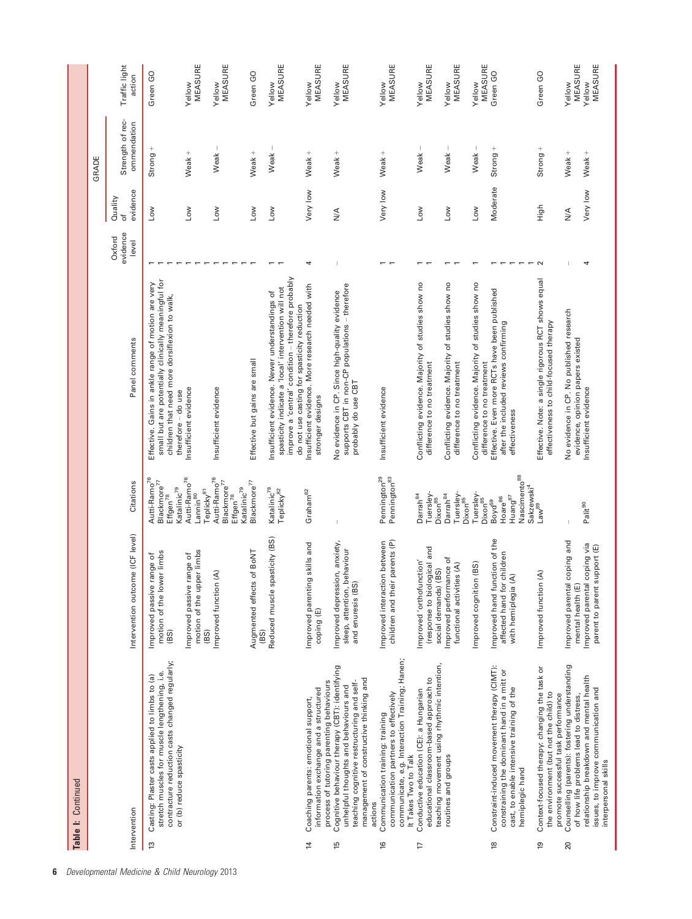|    | Table I: Continued                                                                                                                                                                                   |                                                                                                                         |                                                                                                                        |                                                                                                                                                                                                           |                             |                           |                                 |                                                      |
|----|------------------------------------------------------------------------------------------------------------------------------------------------------------------------------------------------------|-------------------------------------------------------------------------------------------------------------------------|------------------------------------------------------------------------------------------------------------------------|-----------------------------------------------------------------------------------------------------------------------------------------------------------------------------------------------------------|-----------------------------|---------------------------|---------------------------------|------------------------------------------------------|
|    |                                                                                                                                                                                                      |                                                                                                                         |                                                                                                                        |                                                                                                                                                                                                           |                             |                           | GRADE                           |                                                      |
|    | Intervention                                                                                                                                                                                         | Intervention outcome (ICF level)                                                                                        | Citations                                                                                                              | Panel comments                                                                                                                                                                                            | evidence<br>Oxford<br>level | evidence<br>Quality<br>đ  | Strength of rec-<br>ommendation | Traffic light<br>action                              |
| 5à | contracture reduction casts changed regularly;<br>stretch muscles for muscle lengthening, i.e.<br>Casting: Plaster casts applied to limbs to (a)<br>or (b) reduce spasticity                         | motion of the lower limbs<br>ange of<br>Improved passive r<br>(BS)                                                      | Autti-Ramo <sup>76</sup><br>Blackmore <sup>77</sup><br>Katalinic <sup>79</sup><br>Effgen <sup>78</sup>                 | small but are potentially clinically meaningful for<br>Effective. Gains in ankle range of motion are very<br>children that need more dorsiflexion to walk,<br>therefore - do use                          |                             | <b>No7</b>                | $Strong +$                      | Green GO                                             |
|    |                                                                                                                                                                                                      | motion of the upper limbs<br>Improved passive range of<br>(BS)                                                          | Autti-Ramo <sup>76</sup><br>Teplicky <sup>81</sup><br>Lannin <sup>80</sup>                                             | Insufficient evidence                                                                                                                                                                                     |                             | <b>NO7</b>                | $W$ eak +                       | <b>MEASURE</b><br>Yellow                             |
|    |                                                                                                                                                                                                      | Improved function (A)                                                                                                   | Autti-Ramo <sup>76</sup><br>Blackmore <sup>77</sup><br>Katalinic <sup>79</sup><br>$Effgen^{78}$                        | Insufficient evidence                                                                                                                                                                                     |                             | Low                       | Weak                            | <b>MEASURE</b><br>Yellow                             |
|    |                                                                                                                                                                                                      | of BoNT<br>Augmented effects<br>(BS)                                                                                    | $Blackmore$ <sup>77</sup>                                                                                              | Effective but gains are small                                                                                                                                                                             |                             | <b>NOT</b>                | $Weak +$                        | Green GO                                             |
|    |                                                                                                                                                                                                      | Reduced muscle spasticity (BS)                                                                                          | Katalinic <sup>79</sup><br>Teplicky <sup>82</sup>                                                                      | improve a 'central' condition - therefore probably<br>spasticity indicate a 'local' intervention will not<br>nsufficient evidence. Newer understandings of<br>do not use casting for spasticity reduction |                             | Low                       | Weak                            | MEASURE<br>Yellow                                    |
| 4  | process of tutoring parenting behaviours<br>information exchange and a structured<br>Coaching parents: emotional support,                                                                            | skills and<br>Improved parenting<br>coping (E)                                                                          | Graham <sup>82</sup>                                                                                                   | Insufficient evidence. More research needed with<br>stronger designs                                                                                                                                      | 4                           | Very low                  | Weak $+$                        | <b>MEASURE</b><br>Yellow                             |
| 15 | Cognitive behaviour therapy (CBT): identifying<br>management of constructive thinking and<br>teaching cognitive restructuring and self-<br>unhelpful thoughts and behaviours and<br>actions          | Improved depression, anxiety,<br>sleep, attention, behaviour<br>and enuresis (BS)                                       |                                                                                                                        | supports CBT in non-CP populations - therefore<br>No evidence in CP. Since high-quality evidence<br>probably do use CBT                                                                                   |                             | $\frac{4}{5}$             | $Weak +$                        | MEASURE<br>Yellow                                    |
| 9  | communicate, e.g. Interaction Training; Hanen;<br>communication partners to effectively<br>Communication training: training<br>It Takes Two to Talk                                                  | parents (P)<br>Improved interaction between<br>children and their                                                       | Pennington <sup>83</sup><br>Pennington <sup>29</sup>                                                                   | Insufficient evidence                                                                                                                                                                                     |                             | Very low                  | Weak $+$                        | <b>MEASURE</b><br>Yellow                             |
| F  | teaching movement using rhythmic intention,<br>educational classroom-based approach to<br>Conductive education (CE): a Hungarian                                                                     | (response to biological and<br>social demands) (BS)<br>Improved 'orthofunction'                                         | Tuersley-<br>Dixon <sup>85</sup><br>Darrah <sup>84</sup>                                                               | Conflicting evidence. Majority of studies show no<br>difference to no treatment                                                                                                                           |                             | Low                       | П<br>Weak                       | <b>MEASURE</b><br>Yellow                             |
|    | routines and groups                                                                                                                                                                                  | Improved performance of<br>functional activities (A)                                                                    | Tuersley-<br>Dixon <sup>85</sup><br>Darrah <sup>84</sup>                                                               | Conflicting evidence. Majority of studies show no<br>difference to no treatment                                                                                                                           |                             | Low                       | Weak                            | <b>MEASURE</b><br>Yellow                             |
|    |                                                                                                                                                                                                      | Improved cognition (BS)                                                                                                 | Tuersley-<br>Dixon <sup>85</sup>                                                                                       | Conflicting evidence. Majority of studies show no<br>difference to no treatment                                                                                                                           |                             | Low                       | Weak                            | MEASURE<br>Yellow                                    |
| œ  | Constraint-induced movement therapy (CIMT):<br>constraining the dominant hand in a mitt or<br>cast, to enable intensive training of the<br>hemiplegic hand                                           | Improved hand function of the<br>affected hand for children<br>with hemiplegia (A)                                      | Nascimento <sup>88</sup><br>Sakzewski <sup>4</sup><br>Huang <sup>87</sup><br>Hoare <sup>86</sup><br>Boyd <sup>59</sup> | Effective. Even more RCTs have been published<br>after the included reviews confirming<br>effectiveness                                                                                                   |                             | Moderate                  | Strong +                        | Green GO                                             |
| စ္ | Context-focused therapy: changing the task or<br>the environment (but not the child) to<br>promote successful task performance                                                                       | Improved function (A)                                                                                                   | law <sup>89</sup>                                                                                                      | Effective. Note: a single rigorous RCT shows equal<br>effectiveness to child-focused therapy                                                                                                              | $\sim$                      | も<br>王                    | Strong +                        | Green GO                                             |
| 20 | Counselling (parents): fostering understanding<br>relationship breakdown and mental health<br>issues, to improve communication and<br>of how life problems lead to distress,<br>interpersonal skills | coping and<br>coping via<br>parent to parent support (E)<br>mental health (E)<br>Improved parental<br>Improved parental | Palit <sup>90</sup>                                                                                                    | No evidence in CP. No published research<br>evidence, opinion papers existed<br>nsufficient evidence                                                                                                      |                             | Very low<br>$\frac{4}{2}$ | $Weak +$<br>$Weak +$            | <b>MEASURE</b><br><b>MEASURE</b><br>Yellow<br>Yellow |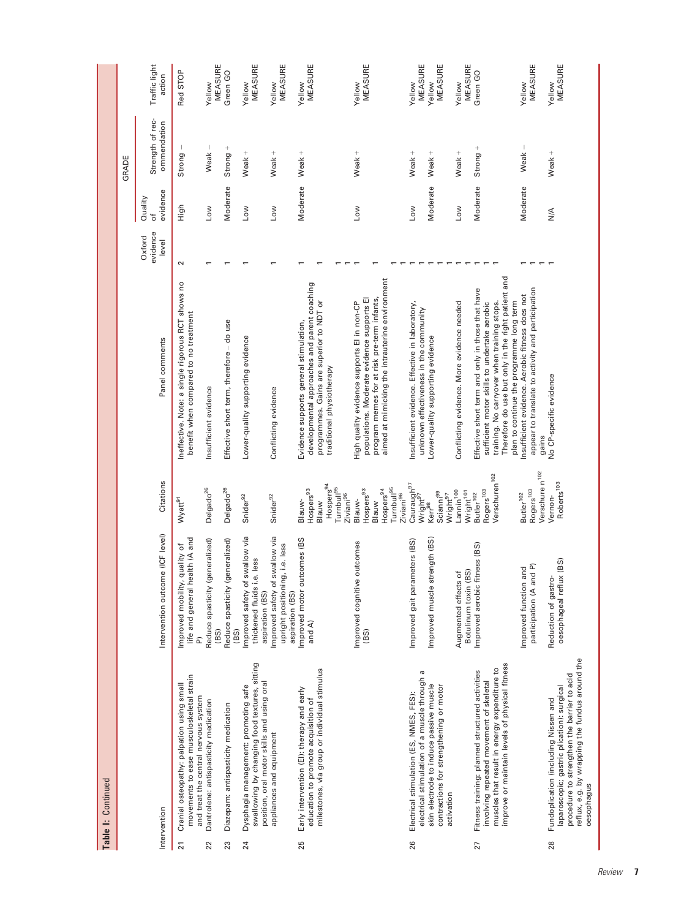|                 | Table I: Continued                                                                                                                                                                                |                                                                                        |                                                                                                                             |                                                                                                                                                                                                                                                   |                             |                          |                                 |                          |
|-----------------|---------------------------------------------------------------------------------------------------------------------------------------------------------------------------------------------------|----------------------------------------------------------------------------------------|-----------------------------------------------------------------------------------------------------------------------------|---------------------------------------------------------------------------------------------------------------------------------------------------------------------------------------------------------------------------------------------------|-----------------------------|--------------------------|---------------------------------|--------------------------|
|                 |                                                                                                                                                                                                   |                                                                                        |                                                                                                                             |                                                                                                                                                                                                                                                   |                             |                          | GRADE                           |                          |
|                 | Intervention                                                                                                                                                                                      | Intervention outcome (ICF level)                                                       | Citations                                                                                                                   | Panel comments                                                                                                                                                                                                                                    | evidence<br>Oxford<br>level | evidence<br>Quality<br>đ | Strength of rec-<br>ommendation | Traffic light<br>action  |
| $\overline{21}$ | movements to ease musculoskeletal strain<br>Cranial osteopathy: palpation using small                                                                                                             | life and general health (A and<br>đ<br>quality<br>Improved mobility,                   | Wyatt <sup>91</sup>                                                                                                         | neffective. Note: a single rigorous RCT shows no<br>benefit when compared to no treatment                                                                                                                                                         | $\sim$                      | High                     | Strong                          | Red STOP                 |
| 22              | and treat the central nervous system<br>Dantrolene: antispasticity medication                                                                                                                     | Reduce spasticity (generalized)<br>(BS)<br>î                                           | Delgado <sup>26</sup>                                                                                                       | Insufficient evidence                                                                                                                                                                                                                             |                             | Low                      | Weak                            | <b>MEASURE</b><br>Yellow |
| 23              | Diazepam: antispasticity medication                                                                                                                                                               | Reduce spasticity (generalized)<br>(BS)                                                | Delgado <sup>26</sup>                                                                                                       | Effective short term, therefore - do use                                                                                                                                                                                                          |                             | Moderate                 | Strong +                        | Green GO                 |
| 24              | swallowing by changing food textures, sitting<br>position, oral motor skills and using oral<br>Dysphagia management: promoting safe                                                               | swallow via<br>thickened fluids i.e. less<br>Improved safety of<br>aspiration (BS)     | Snider <sup>92</sup>                                                                                                        | Lower-quality supporting evidence                                                                                                                                                                                                                 |                             | Low                      | $W$ eak +                       | <b>MEASURE</b><br>Yellow |
|                 | appliances and equipment                                                                                                                                                                          | swallow via<br>upright positioning, i.e. less<br>Improved safety of<br>aspiration (BS) | Snider <sup>92</sup>                                                                                                        | Conflicting evidence                                                                                                                                                                                                                              |                             | Low                      | $W$ eak +                       | <b>MEASURE</b><br>Yellow |
| 25              | milestones, via group or individual stimulus<br>Early intervention (EI): therapy and early<br>education to promote acquisition of                                                                 | mproved motor outcomes (BS<br>and A)                                                   | Hospers <sup>94</sup><br>Turnbull <sup>95</sup><br>Hospers <sup>93</sup><br>Ziviani <sup>96</sup><br>Blauw-<br>Blauw        | developmental approaches and parent coaching<br>programmes. Gains are superior to NDT or<br>Evidence supports general stimulation,<br>traditional physiotherapy                                                                                   |                             | Moderate                 | $Weak +$                        | <b>MEASURE</b><br>Yellow |
|                 |                                                                                                                                                                                                   | outcomes<br>Improved cognitive<br>(BS)                                                 | Turnbull <sup>95</sup><br>Hospers <sup>93</sup><br>Hospers <sup>94</sup><br>Ziviani <sup>96</sup><br>Blauw-<br><b>Blauw</b> | aimed at mimicking the intrauterine environment<br>program memes for at risk pre-term infants,<br>populations. Moderate evidence supports El<br>High quality evidence supports El in non-CP                                                       |                             | Low                      | $Weak +$                        | <b>MEASURE</b><br>Yellow |
| 26              | a<br>electrical stimulation of a muscle through<br>Electrical stimulation (ES, NMES, FES):                                                                                                        | Improved gait parameters (BS)                                                          | Cauraugh <sup>97</sup><br>Wright <sup>97</sup>                                                                              | Insufficient evidence. Effective in laboratory,<br>unknown effectiveness in the community                                                                                                                                                         |                             | Low                      | $Weak +$                        | <b>MEASURE</b><br>Yellow |
|                 | skin electrode to induce passive muscle<br>contractions for strengthening or motor<br>activation                                                                                                  | Improved muscle strength (BS)                                                          | Scianni <sup>99</sup><br>Wright <sup>97</sup><br>Kerr <sup>98</sup>                                                         | Lower-quality supporting evidence                                                                                                                                                                                                                 |                             | Moderate                 | $Weak +$                        | <b>MEASURE</b><br>Yellow |
|                 |                                                                                                                                                                                                   | Botulinum toxin (BS)<br>đ<br>Augmented effects                                         | Lannin <sup>100</sup><br>Wright <sup>101</sup>                                                                              | Conflicting evidence. More evidence needed                                                                                                                                                                                                        |                             | Low                      | $Weak +$                        | <b>MEASURE</b><br>Yellow |
| 27              | improve or maintain levels of physical fitness<br>muscles that result in energy expenditure to<br>Fitness training: planned structured activities<br>involving repeated movement of skeletal      | Improved aerobic fitness (BS)                                                          | Verschuren <sup>102</sup><br>Rogers <sup>103</sup><br>Butler <sup>102</sup>                                                 | Therefore do use but only in the right patient and<br>Effective short term and only in those that have<br>plan to continue the programme long term<br>sufficient motor skills to undertake aerobic<br>training. No carryover when training stops. |                             | Moderate                 | $Strong +$                      | Green GO                 |
|                 |                                                                                                                                                                                                   | id P)<br>Improved function and<br>participation (A an                                  | Verschure n <sup>102</sup><br>Rogers <sup>103</sup><br>Butler <sup>102</sup>                                                | appear to translate to activity and participation<br>nsufficient evidence. Aerobic fitness does not<br>gains                                                                                                                                      |                             | Moderate                 | Weak                            | <b>MEASURE</b><br>Yellow |
| 28              | reflux, e.g. by wrapping the fundus around the<br>procedure to strengthen the barrier to acid<br>laparoscopic; gastric plication): surgical<br>Fundoplication (including Nissen and<br>oesophagus | oesophageal reflux (BS)<br>Reduction of gastro                                         | Roberts <sup>103</sup><br>Vernon-                                                                                           | No CP-specific evidence                                                                                                                                                                                                                           |                             | $\frac{4}{2}$            | $Weak +$                        | <b>MEASURE</b><br>Yellow |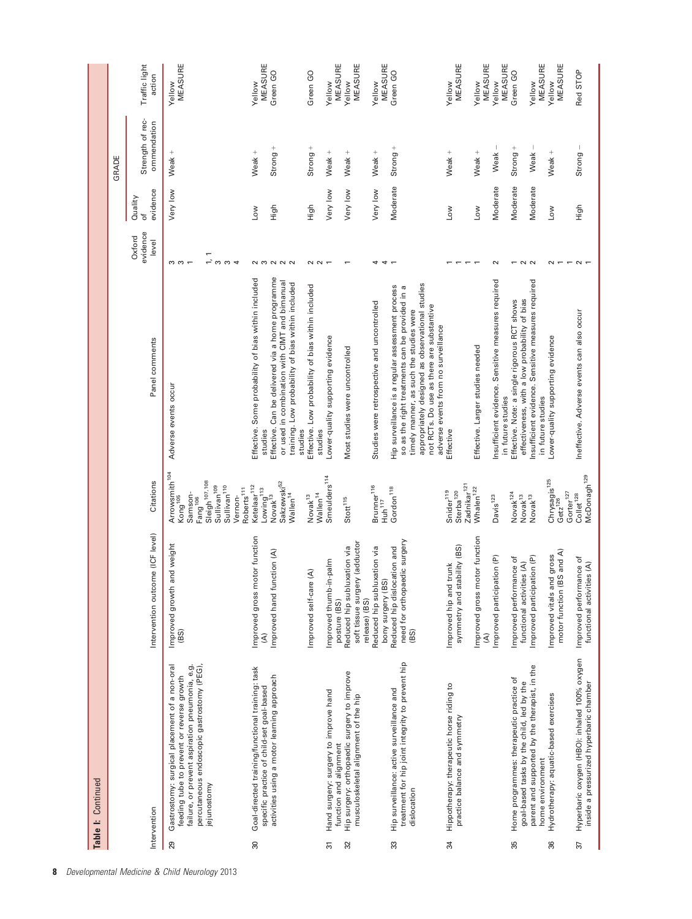|                | Table I: Continued                                                                                                                                                                                        |                                                                                    |                                                                                                                                                                                                            |                                                                                                                                                                                                                                                                                       |                                                  |                          |                                 |                                      |
|----------------|-----------------------------------------------------------------------------------------------------------------------------------------------------------------------------------------------------------|------------------------------------------------------------------------------------|------------------------------------------------------------------------------------------------------------------------------------------------------------------------------------------------------------|---------------------------------------------------------------------------------------------------------------------------------------------------------------------------------------------------------------------------------------------------------------------------------------|--------------------------------------------------|--------------------------|---------------------------------|--------------------------------------|
|                |                                                                                                                                                                                                           |                                                                                    |                                                                                                                                                                                                            |                                                                                                                                                                                                                                                                                       |                                                  |                          | GRADE                           |                                      |
|                | Intervention                                                                                                                                                                                              | Intervention outcome (ICF level)                                                   | Citations                                                                                                                                                                                                  | Panel comments                                                                                                                                                                                                                                                                        | evidence<br>Oxford<br>level                      | evidence<br>Quality<br>৳ | Strength of rec-<br>ommendation | Traffic light<br>action              |
| 29             | percutaneous endoscopic gastrostomy (PEG),<br>Gastrostomy: surgical placement of a non-oral<br>failure, or prevent aspiration pneumonia, e.g.<br>feeding tube to prevent or reverse growth<br>jejunostomy | Improved growth and weight                                                         | Arrowsmith <sup>104</sup><br>Sleigh <sup>107,108</sup><br>Sullivan <sup>109</sup><br>Sullivan <sup>110</sup><br>Roberts <sup>111</sup><br>Samson-<br>Fang <sup>106</sup><br>Vernon-<br>Kong <sup>105</sup> | Adverse events occur                                                                                                                                                                                                                                                                  | $\frac{1}{2}$ and $\frac{1}{2}$<br>$m \, m \, -$ | Very low                 | Weak +                          | <b>MEASURE</b><br>Yellow             |
| 30             | Goal-directed training/functional training: task<br>activities using a motor learning approach<br>specific practice of child-set goal-based                                                               | Improved gross motor function<br>Improved hand function (A)                        | Sakzewski <sup>52</sup><br>Ketelaar <sup>112</sup><br>Lowing <sup>113</sup><br>Novak <sup>13</sup><br>Wallen <sup>14</sup>                                                                                 | Effective. Can be delivered via a home programme<br>Effective. Some probability of bias within included<br>or used in combination with CIMT and bimanual<br>training. Low probability of bias within included<br>studies<br>studies                                                   | <b>23322</b>                                     | High<br>Low              | Strong +<br>$Weak +$            | <b>MEASURE</b><br>Green GO<br>Yellow |
|                |                                                                                                                                                                                                           | Improved self-care (A)                                                             | Wallen <sup>14</sup><br>Novak <sup>13</sup>                                                                                                                                                                | Effective. Low probability of bias within included<br>studies                                                                                                                                                                                                                         | $\sim \sim -$                                    | High                     | Strong +                        | Green GO                             |
| $\overline{3}$ | Hand surgery: surgery to improve hand<br>function and alignment                                                                                                                                           | Improved thumb-in-palm<br>posture (BS)                                             | Smeulders <sup>114</sup>                                                                                                                                                                                   | ower-quality supporting evidence                                                                                                                                                                                                                                                      |                                                  | Very low                 | Weak $+$                        | <b>MEASURE</b><br>Yellow             |
| 32             | Hip surgery: orthopaedic surgery to improve<br>musculoskeletal alignment of the hip                                                                                                                       | soft tissue surgery (adductor<br>Reduced hip subluxation via<br>release) (BS)      | $\mathrm{Stott}^{115}$                                                                                                                                                                                     | Most studies were uncontrolled                                                                                                                                                                                                                                                        |                                                  | Very low                 | Weak $+$                        | <b>MEASURE</b><br>Yellow             |
|                |                                                                                                                                                                                                           | Reduced hip subluxation via<br>bony surgery (BS)                                   | Brunner <sup>116</sup><br>Huh <sup>117</sup>                                                                                                                                                               | Studies were retrospective and uncontrolled                                                                                                                                                                                                                                           | 4<br>4                                           | Very low                 | Weak $+$                        | <b>MEASURE</b><br>Yellow             |
| 33             | treatment for hip joint integrity to prevent hip<br>Hip surveillance: active surveillance and<br>dislocation                                                                                              | need for orthopaedic surgery<br>Reduced hip dislocation and<br>(BS)                | Gordon <sup>118</sup>                                                                                                                                                                                      | appropriately designed as observational studies<br>Hip surveillance is a regular assessment process<br>so as the right treatments can be provided in a<br>not RCTs. Do use as there are substantive<br>timely manner, as such the studies were<br>adverse events from no surveillance |                                                  | Moderate                 | Strong +                        | Green GO                             |
| 34             | Hippotherapy: therapeutic horse riding to<br>practice balance and symmetry                                                                                                                                | symmetry and stability (BS)<br>trunk<br>Improved hip and                           | Zadnikar <sup>121</sup><br>Sterba <sup>120</sup><br>Snider <sup>119</sup>                                                                                                                                  | Effective                                                                                                                                                                                                                                                                             |                                                  | <b>NO7</b>               | $Weak +$                        | <b>MEASURE</b><br>Yellow             |
|                |                                                                                                                                                                                                           | Improved gross motor function<br>$\widehat{\mathcal{E}}$                           | Whalen <sup>122</sup>                                                                                                                                                                                      | Effective. Larger studies needed                                                                                                                                                                                                                                                      |                                                  | Low                      | $Weak +$                        | <b>MEASURE</b><br>Yellow             |
|                |                                                                                                                                                                                                           | Improved participation (P)                                                         | Davis <sup>123</sup>                                                                                                                                                                                       | Insufficient evidence. Sensitive measures required<br>in future studies                                                                                                                                                                                                               | $\sim$                                           | Moderate                 | Weak                            | <b>MEASURE</b><br>Yellow             |
| 35             | parent and supported by the therapist, in the<br>Home programmes: therapeutic practice of<br>goal-based tasks by the child, led by the<br>home environment                                                | Improved participation (P)<br>Improved performance of<br>functional activities (A) | Novak <sup>124</sup><br>Novak <sup>13</sup><br>Novak <sup>13</sup>                                                                                                                                         | nsufficient evidence. Sensitive measures required<br>effectiveness, with a low probability of bias<br>Effective. Note: a single rigorous RCT shows<br>in future studies                                                                                                               | $-22$                                            | Moderate<br>Moderate     | 1<br>$Strong +$<br>Weak         | <b>MEASURE</b><br>Green GO<br>Yellow |
| 36             | Hydrotherapy: aquatic-based exercises                                                                                                                                                                     | motor function (BS and A)<br>Improved vitals and gross                             | Chrysagis <sup>125</sup><br>Gorter $127$<br>Getz $126$                                                                                                                                                     | ower-quality supporting evidence                                                                                                                                                                                                                                                      | $\sim$ $-$<br>$\overline{\phantom{0}}$           | <b>NOT</b>               | $Weak +$                        | <b>MEASURE</b><br>Yellow             |
| 37             | Hyperbaric oxygen (HBO): inhaled 100% oxygen<br>inside a pressurized hyperbaric chamber                                                                                                                   | Improved performance of<br>functional activities (A)                               | McDonagh <sup>129</sup><br>Collet <sup>128</sup>                                                                                                                                                           | Ineffective. Adverse events can also occur                                                                                                                                                                                                                                            | $\sim$                                           | High                     | Strong -                        | Red STOP                             |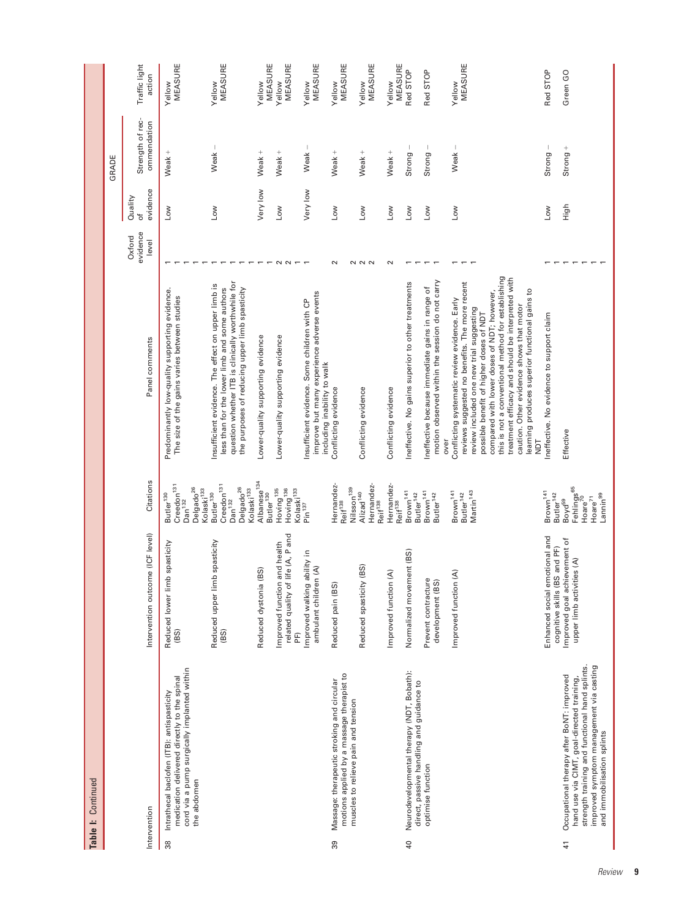|    |                                                                                                                                                                                                                    |                                                                              |                                                                                                                          |                                                                                                                                                                                                                                                                                                                                                                                                                                                              |                             |                          | GRADE                              |                          |
|----|--------------------------------------------------------------------------------------------------------------------------------------------------------------------------------------------------------------------|------------------------------------------------------------------------------|--------------------------------------------------------------------------------------------------------------------------|--------------------------------------------------------------------------------------------------------------------------------------------------------------------------------------------------------------------------------------------------------------------------------------------------------------------------------------------------------------------------------------------------------------------------------------------------------------|-----------------------------|--------------------------|------------------------------------|--------------------------|
|    | Intervention                                                                                                                                                                                                       | Intervention outcome (ICF level)                                             | Citations                                                                                                                | Panel comments                                                                                                                                                                                                                                                                                                                                                                                                                                               | evidence<br>Oxford<br>level | evidence<br>Quality<br>৳ | Strength of rec-<br>ommendation    | Traffic light<br>action  |
| 38 | cord via a pump surgically implanted within<br>medication delivered directly to the spinal<br>Intrathecal baclofen (ITB): antispasticity<br>the abdomen                                                            | b spasticity<br>Reduced lower lim<br>(BS)                                    | Creedon <sup>131</sup><br>Delgado <sup>26</sup><br>Kolaski <sup>133</sup><br>Butler <sup>130</sup><br>Dan <sup>132</sup> | Predominantly low-quality supporting evidence.<br>The size of the gains varies between studies                                                                                                                                                                                                                                                                                                                                                               |                             | Low                      | Weak                               | <b>MEASURE</b><br>Yellow |
|    |                                                                                                                                                                                                                    | Reduced upper limb spasticity<br>(BS)                                        | Creedon <sup>131</sup><br>Delgado <sup>26</sup><br>Kolaski <sup>133</sup><br>Butler <sup>130</sup><br>Dan <sup>132</sup> | question whether ITB is clinically worthwhile for<br>Insufficient evidence. The effect on upper limb is<br>less than for the lower limb and some authors<br>the purposes of reducing upper limb spasticity                                                                                                                                                                                                                                                   |                             | <b>NOT</b>               | $\mid$<br>Weak                     | <b>MEASURE</b><br>Yellow |
|    |                                                                                                                                                                                                                    | (BS)<br>Reduced dystonia (                                                   | Albanese <sup>134</sup><br>Butler <sup>130</sup>                                                                         | Lower-quality supporting evidence                                                                                                                                                                                                                                                                                                                                                                                                                            |                             | Very low                 | $Weak +$                           | MEASURE<br>Yellow        |
|    |                                                                                                                                                                                                                    | life (A, P and<br>and health<br>Improved function<br>related quality of<br>Ê | Hoving <sup>135</sup><br>Hoving <sup>136</sup><br>Kolaski <sup>133</sup>                                                 | Lower-quality supporting evidence                                                                                                                                                                                                                                                                                                                                                                                                                            | $\sim$ $\sim$               | <b>NOT</b>               | $Weak +$                           | MEASURE<br>Yellow        |
|    |                                                                                                                                                                                                                    | ability in<br>ambulant children (A)<br>Improved walking                      | $Pin^{137}$                                                                                                              | improve but many experience adverse events<br>nsufficient evidence. Some children with CP<br>including inability to walk                                                                                                                                                                                                                                                                                                                                     |                             | Very low                 | Weak                               | MEASURE<br>Yellow        |
| 39 | motions applied by a massage therapist to<br>Massage: therapeutic stroking and circular<br>muscles to relieve pain and tension                                                                                     | Reduced pain (BS)                                                            | Hernandez-<br>Nilsson <sup>139</sup><br>Reif <sup>138</sup>                                                              | Conflicting evidence                                                                                                                                                                                                                                                                                                                                                                                                                                         | $\sim$                      | <b>NO7</b>               | Weak $+$                           | MEASURE<br>Yellow        |
|    |                                                                                                                                                                                                                    | (BS)<br>Reduced spasticity                                                   | Hernandez-<br>Alizad <sup>140</sup><br>Reif <sup>138</sup>                                                               | Conflicting evidence                                                                                                                                                                                                                                                                                                                                                                                                                                         | 222                         | Low                      | Weak $+$                           | MEASURE<br>Yellow        |
|    |                                                                                                                                                                                                                    | $\mathfrak{S}$<br>Improved function                                          | Hernandez-<br>Reif <sup>138</sup>                                                                                        | Conflicting evidence                                                                                                                                                                                                                                                                                                                                                                                                                                         | $\sim$                      | <b>NOT</b>               | $Weak +$                           | MEASURE<br>Yellow        |
| 40 | Neurodevelopmental therapy (NDT, Bobath):<br>direct, passive handling and guidance to                                                                                                                              | Normalized movement (BS)                                                     | Brown <sup>141</sup><br>Butler <sup>142</sup>                                                                            | Ineffective. No gains superior to other treatments                                                                                                                                                                                                                                                                                                                                                                                                           |                             | ΜΟJ                      | Strong                             | Red STOP                 |
|    | optimise function                                                                                                                                                                                                  | Prevent contracture<br>development (BS)                                      | Brown <sup>141</sup><br>Butler <sup>142</sup>                                                                            | motion observed within the session do not carry<br>Ineffective because immediate gains in range of                                                                                                                                                                                                                                                                                                                                                           |                             | ΜΟJ                      | $\overline{\phantom{a}}$<br>Strong | Red STOP                 |
|    |                                                                                                                                                                                                                    | $\widehat{\mathcal{L}}$<br>Improved function                                 | Martin <sup>143</sup><br>Brown <sup>141</sup><br>Butler <sup>142</sup>                                                   | this is not a conventional method for establishing<br>treatment efficacy and should be interpreted with<br>reviews suggested no benefits. The more recent<br>learning produces superior functional gains to<br>compared with lower doses of NDT; however,<br>Conflicting systematic review evidence. Early<br>caution. Other evidence shows that motor<br>review included one new trial suggesting<br>possible benefit of higher doses of NDT<br>1dh<br>over |                             | Low                      | Weak                               | MEASURE<br>Yellow        |
|    |                                                                                                                                                                                                                    | Enhanced social emotional and<br>cognitive skills (BS and PF)                | Brown <sup>141</sup><br>Butler <sup>142</sup>                                                                            | Ineffective. No evidence to support claim                                                                                                                                                                                                                                                                                                                                                                                                                    |                             | <b>NO7</b>               | $\overline{1}$<br>Strong           | Red STOP                 |
| 41 | strength training and functional hand splints.<br>improved symptom management via casting<br>Occupational therapy after BoNT: improved<br>hand use via CIMT, goal-directed training,<br>and immobilisation splints | Improved goal achievement of<br>upper limb activities (A)                    | Fehlings <sup>65</sup><br>Hoare <sup>70</sup><br>$\mathsf{Lannin}^{99}$<br>Hoare <sup>71</sup><br>Boyd <sup>59</sup>     | Effective                                                                                                                                                                                                                                                                                                                                                                                                                                                    |                             | High                     | $Strong +$                         | Green GO                 |

Table I: Continued

Review 9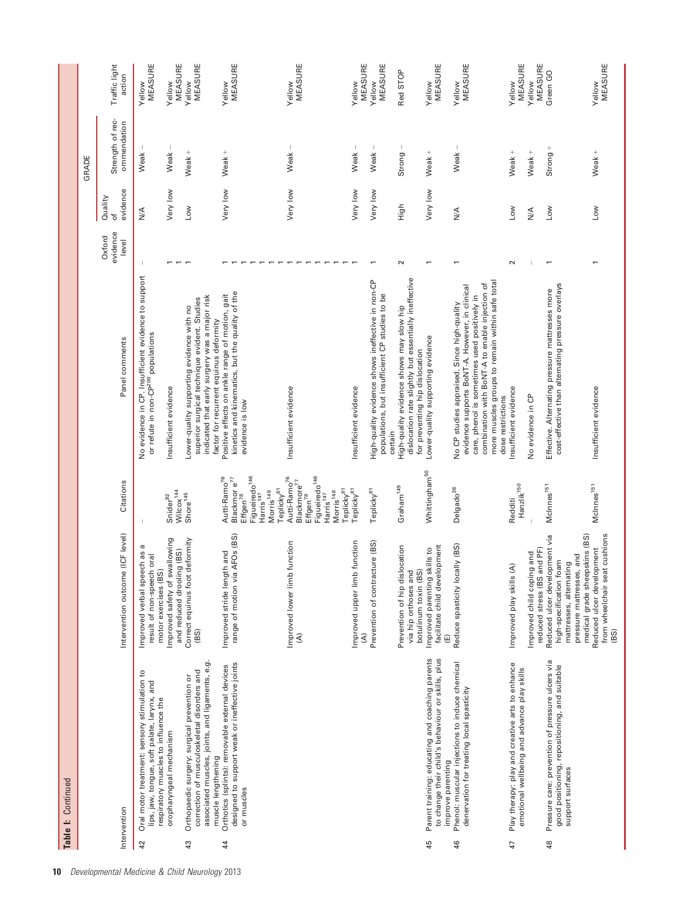|               | Continued<br>Table I:                                                                                                                                               |                                                                                                                 |                                                                                                                                                                                |                                                                                                                                                                                                                                                                         |                    |               |                  |                          |
|---------------|---------------------------------------------------------------------------------------------------------------------------------------------------------------------|-----------------------------------------------------------------------------------------------------------------|--------------------------------------------------------------------------------------------------------------------------------------------------------------------------------|-------------------------------------------------------------------------------------------------------------------------------------------------------------------------------------------------------------------------------------------------------------------------|--------------------|---------------|------------------|--------------------------|
|               |                                                                                                                                                                     |                                                                                                                 |                                                                                                                                                                                |                                                                                                                                                                                                                                                                         |                    |               | GRADE            |                          |
|               |                                                                                                                                                                     |                                                                                                                 |                                                                                                                                                                                |                                                                                                                                                                                                                                                                         | evidence<br>Oxford | Quality<br>đ  | Strength of rec- | Traffic light            |
|               | Intervention                                                                                                                                                        | Intervention outcome (ICF level)                                                                                | Citations                                                                                                                                                                      | Panel comments                                                                                                                                                                                                                                                          | level              | evidence      | ommendation      | action                   |
| 42            | Oral motor treatment: sensory stimulation to<br>lips, jaw, tongue, soft palate, larynx, and<br>respiratory muscles to influence the                                 | a<br>Improved verbal speech as<br>result of non-speech oral<br>motor exercises (BS)                             |                                                                                                                                                                                | No evidence in CP. Insufficient evidence to support<br>or refute in non-CP <sup>200</sup> populations                                                                                                                                                                   |                    | $\frac{4}{2}$ | Weak             | MEASURE<br>Yellow        |
|               | oropharyngeal mechanism                                                                                                                                             | swallowing<br>and reduced drooling (BS)<br>Improved safety of                                                   | Wilcox <sup>144</sup><br>Snider <sup>92</sup>                                                                                                                                  | nsufficient evidence                                                                                                                                                                                                                                                    |                    | Very low      | -1<br>Weak       | MEASURE<br>Yellow        |
| $\frac{3}{4}$ | associated muscles, joints, and ligaments, e.g.<br>correction of musculoskeletal disorders and<br>Orthopaedic surgery: surgical prevention or<br>muscle lengthening | Correct equinus foot deformity<br>(BS)                                                                          | Shore <sup>145</sup>                                                                                                                                                           | indicated that early surgery was a major risk<br>superior surgical technique evident. Studies<br>Lower-quality supporting evidence with no<br>factor for recurrent equinus deformity                                                                                    |                    | <b>No7</b>    | Weak +           | MEASURE<br>Yellow        |
| $\frac{4}{4}$ | designed to support weak or ineffective joints<br>Orthotics (splints): removable external devices<br>or muscles                                                     | range of motion via AFOs (BS)<br>Improved stride length and                                                     | Autti-Ramo <sup>76</sup><br>Figueiredo <sup>146</sup><br>Blackmor e <sup>77</sup><br>Teplicky <sup>81</sup><br>Morris <sup>148</sup><br>$Effgen^{78}$<br>Harris <sup>147</sup> | kinetics and kinematics, but the quality of the<br>Positive effects on ankle range of motion, gait<br>evidence is low                                                                                                                                                   |                    | Very low      | Weak +           | MEASURE<br>Yellow        |
|               |                                                                                                                                                                     | Improved lower limb function<br>$\widehat{\mathcal{E}}$                                                         | Figueiredo <sup>146</sup><br>Autti-Ramo <sup>76</sup><br>Blackmore <sup>77</sup><br>Teplicky <sup>81</sup><br>Morris <sup>148</sup><br>$Effgen^{78}$<br>Harris <sup>147</sup>  | Insufficient evidence                                                                                                                                                                                                                                                   |                    | Very low      | Weak             | MEASURE<br>Yellow        |
|               |                                                                                                                                                                     | Improved upper limb function<br>$\widehat{\mathcal{E}}$                                                         | Teplicky <sup>81</sup>                                                                                                                                                         | Insufficient evidence                                                                                                                                                                                                                                                   |                    | Very low      | Weak             | MEASURE<br>Yellow        |
|               |                                                                                                                                                                     | Prevention of contracture (BS)                                                                                  | Teplicky <sup>81</sup>                                                                                                                                                         | High-quality evidence shows ineffective in non-CP<br>populations, but insufficient CP studies to be<br>certain                                                                                                                                                          |                    | Very low      | Weak             | <b>MEASURE</b><br>Yellow |
|               |                                                                                                                                                                     | Prevention of hip dislocation<br>botulinum toxin (BS)<br>via hip orthoses and                                   | Graham <sup>149</sup>                                                                                                                                                          | dislocation rate slightly but essentially ineffective<br>High-quality evidence shows may slow hip<br>for preventing hip dislocation                                                                                                                                     | $\sim$             | High          | Strong           | Red STOP                 |
| 45            | to change their child's behaviour or skills, plus<br>Parent training: educating and coaching parents<br>improve parenting                                           | facilitate child development<br>Improved parenting skills to<br>$\widehat{\mathbb{E}}$                          | Whittingham <sup>50</sup>                                                                                                                                                      | Lower-quality supporting evidence                                                                                                                                                                                                                                       | $\blacksquare$     | Very low      | Weak $+$         | MEASURE<br>Yellow        |
| 46            | Phenol: muscular injections to induce chemical<br>denervation for treating local spasticity                                                                         | locally (BS)<br>Reduce spasticity                                                                               | Delgado <sup>26</sup>                                                                                                                                                          | more muscles groups to remain within safe total<br>combination with BoNT-A to enable injection of<br>evidence supports BoNT-A. However, in clinical<br>care, phenol is sometimes used positively in<br>No CP studies appraised. Since high-quality<br>dose restrictions |                    | $\frac{4}{2}$ | Weak             | MEASURE<br>Yellow        |
| 47            | Play therapy: play and creative arts to enhance<br>emotional wellbeing and advance play skills                                                                      | Improved play skills (A)                                                                                        | Hanzlik <sup>150</sup><br>Redditi                                                                                                                                              | nsufficient evidence                                                                                                                                                                                                                                                    | $\sim$             | Low           | Weak $+$         | MEASURE<br>Yellow        |
|               |                                                                                                                                                                     | reduced stress (BS and PF)<br>Improved child coping and                                                         |                                                                                                                                                                                | No evidence in CP                                                                                                                                                                                                                                                       |                    | ≸             | Weak $+$         | <b>MEASURE</b><br>Yellow |
| 48            | Pressure care: prevention of pressure ulcers via<br>good positioning, repositioning, and suitable<br>support surfaces                                               | Reduced ulcer development via<br>pressure mattresses, and<br>high-specification foam<br>mattresses, alternating | McInnes <sup>151</sup>                                                                                                                                                         | cost-effective than alternating pressure overlays<br>Effective. Alternating pressure mattresses more                                                                                                                                                                    | $\overline{ }$     | <b>No7</b>    | Strong +         | Green GO                 |
|               |                                                                                                                                                                     | medical grade sheepskins (BS)<br>seat cushions<br>Reduced ulcer development<br>from wheelchair<br>(BS)          | McInnes <sup>151</sup>                                                                                                                                                         | Insufficient evidence                                                                                                                                                                                                                                                   |                    | Low           | Weak +           | <b>MEASURE</b><br>Yellow |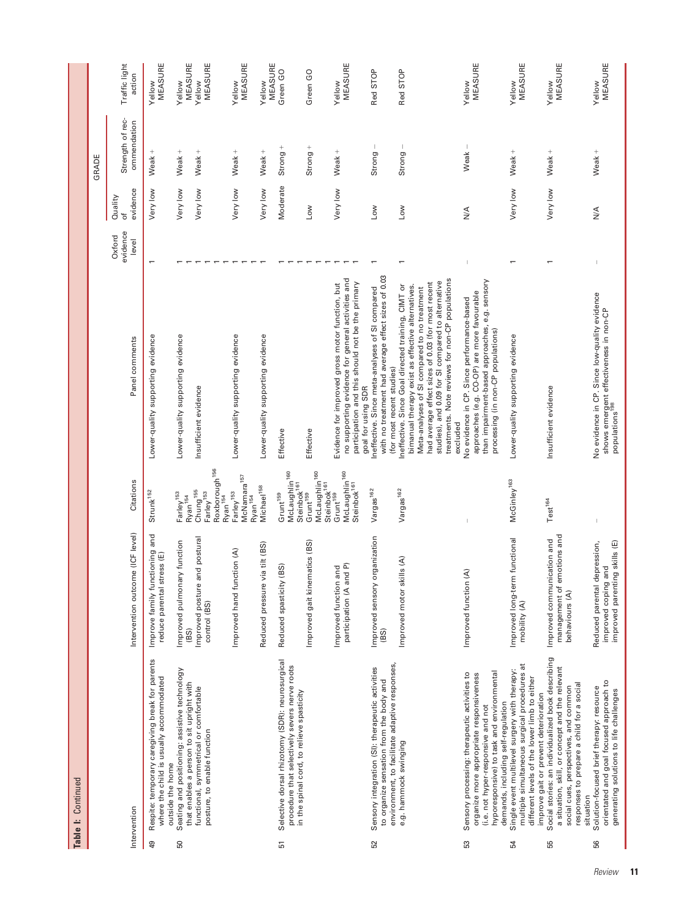|    | Table I: Continued                                                                                                                                                                                                                               |                                                                                         |                                                                                                |                                                                                                                                                                                                                                                                                                                                 |                             |                          |                                 |                          |
|----|--------------------------------------------------------------------------------------------------------------------------------------------------------------------------------------------------------------------------------------------------|-----------------------------------------------------------------------------------------|------------------------------------------------------------------------------------------------|---------------------------------------------------------------------------------------------------------------------------------------------------------------------------------------------------------------------------------------------------------------------------------------------------------------------------------|-----------------------------|--------------------------|---------------------------------|--------------------------|
|    |                                                                                                                                                                                                                                                  |                                                                                         |                                                                                                |                                                                                                                                                                                                                                                                                                                                 |                             |                          | GRADE                           |                          |
|    | Intervention                                                                                                                                                                                                                                     | Intervention outcome (ICF level)                                                        | Citations                                                                                      | Panel comments                                                                                                                                                                                                                                                                                                                  | evidence<br>Oxford<br>level | evidence<br>Quality<br>đ | Strength of rec-<br>ommendation | Traffic light<br>action  |
|    |                                                                                                                                                                                                                                                  |                                                                                         |                                                                                                |                                                                                                                                                                                                                                                                                                                                 |                             |                          |                                 |                          |
| 49 | Respite: temporary caregiving break for parents<br>where the child is usually accommodated<br>outside the home                                                                                                                                   | Improve family functioning and<br>reduce parental stress (E)                            | $Strunk$ <sup>152</sup>                                                                        | Lower-quality supporting evidence                                                                                                                                                                                                                                                                                               | $\overline{\phantom{0}}$    | Very low                 | $Weak +$                        | <b>MEASURE</b><br>Yellow |
| 50 | Seating and positioning: assistive technology<br>that enables a person to sit upright with                                                                                                                                                       | Improved pulmonary function<br>$\overline{1}$                                           | Farley <sup>153</sup><br>Ryan <sup>154</sup>                                                   | Lower-quality supporting evidence                                                                                                                                                                                                                                                                                               |                             | Very low                 | Weak $+$                        | <b>MEASURE</b><br>Yellow |
|    | functional, symmetrical or comfortable<br>posture, to enable function                                                                                                                                                                            | Improved posture and postural<br>control (BS)                                           | Roxborough <sup>156</sup><br>Chung <sup>155</sup><br>Farley <sup>153</sup>                     | Insufficient evidence                                                                                                                                                                                                                                                                                                           |                             | Very low                 | Weak $+$                        | <b>MEASURE</b><br>Yellow |
|    |                                                                                                                                                                                                                                                  | Improved hand function (A)                                                              | McNamara <sup>157</sup><br>Farley <sup>153</sup><br>Ryan <sup>154</sup><br>Ryan <sup>154</sup> | Lower-quality supporting evidence                                                                                                                                                                                                                                                                                               |                             | Very low                 | $Weak +$                        | <b>MEASURE</b><br>Yellow |
|    |                                                                                                                                                                                                                                                  | Reduced pressure via tilt (BS)                                                          | Michael <sup>158</sup>                                                                         | Lower-quality supporting evidence                                                                                                                                                                                                                                                                                               |                             | Very low                 | $Weak +$                        | <b>MEASURE</b><br>Yellow |
| 51 | Selective dorsal rhizotomy (SDR): neurosurgical<br>procedure that selectively severs nerve roots<br>in the spinal cord, to relieve spasticity                                                                                                    | (BS)<br>Reduced spasticity                                                              | McLaughlin <sup>160</sup><br>Steinbok <sup>161</sup><br>Grunt <sup>159</sup>                   | Effective                                                                                                                                                                                                                                                                                                                       |                             | Moderate                 | $Strong +$                      | Green GO                 |
|    |                                                                                                                                                                                                                                                  | Improved gait kinematics (BS)                                                           | McLaughlin <sup>160</sup><br>Steinbok <sup>161</sup><br>Grunt <sup>159</sup>                   | Effective                                                                                                                                                                                                                                                                                                                       |                             | Low                      | $Strong +$                      | Green GO                 |
|    |                                                                                                                                                                                                                                                  | participation (A and P)<br>and<br>Improved function                                     | McLaughlin <sup>160</sup><br>Steinbok <sup>161</sup><br>Grunt <sup>159</sup>                   | no supporting evidence for general activities and<br>Evidence for improved gross motor function, but<br>participation and this should not be the primary<br>goal for using SDR                                                                                                                                                  |                             | Very low                 | Weak $+$                        | <b>MEASURE</b><br>Yellow |
| 52 | environment, to facilitate adaptive responses,<br>Sensory integration (SI): therapeutic activities<br>to organize sensation from the body and                                                                                                    | Improved sensory organization<br>(BS)                                                   | Vargas <sup>162</sup>                                                                          | with no treatment had average effect sizes of 0.03<br>neffective. Since meta-analyses of SI compared<br>(for most recent studies)                                                                                                                                                                                               |                             | Low                      | Strong                          | Red STOP                 |
|    | e.g. hammock swinging                                                                                                                                                                                                                            | Improved motor skills (A)                                                               | Vargas <sup>162</sup>                                                                          | treatments. Note reviews for non-CP populations<br>studies), and 0.09 for SI compared to alternative<br>had average effect sizes of 0.03 (for most recent<br>neffective. Since Goal directed training, CIMT or<br>bimanual therapy exist as effective alternatives.<br>Meta-analyses of SI compared to no treatment<br>excluded |                             | <b>No7</b>               | Strong                          | Red STOP                 |
| 53 | hyporesponsive) to task and environmental<br>Sensory processing: therapeutic activities to<br>organize more appropriate responsiveness<br>demands, including self-regulation<br>(i.e. not hyper-responsive and not                               | €<br>Improved function                                                                  |                                                                                                | than impairment-based approaches, e.g. sensory<br>approaches (e.g. CO-OP) are more favourable<br>No evidence in CP. Since performance-based<br>processing (in non-CP populations)                                                                                                                                               |                             | $\frac{4}{5}$            | Weak                            | <b>MEASURE</b><br>Yellow |
| 54 | multiple simultaneous surgical procedures at<br>Single event multilevel surgery with therapy:<br>different levels of the lower limb to either                                                                                                    | Improved long-term functional<br>mobility (A)                                           | McGinley <sup>163</sup>                                                                        | Lower-quality supporting evidence                                                                                                                                                                                                                                                                                               |                             | Very low                 | Weak $+$                        | <b>MEASURE</b><br>Yellow |
| 55 | Social stories: an individualized book describing<br>a situation, skill, or concept and the relevant<br>responses to prepare a child for a social<br>social cues, perspectives, and common<br>improve gait or prevent deterioration<br>situation | management of emotions and<br>Improved communication and<br>behaviours (A)              | $\mathsf{Test}^{\mathsf{164}}$                                                                 | Insufficient evidence                                                                                                                                                                                                                                                                                                           |                             | Very low                 | Weak $+$                        | <b>MEASURE</b><br>Yellow |
| 56 | orientated and goal focused approach to<br>Solution-focused brief therapy: resource<br>generating solutions to life challenges                                                                                                                   | Reduced parental depression,<br>improved parenting skills (E)<br>and<br>improved coping | $\vert$                                                                                        | No evidence in CP. Since low-quality evidence<br>shows emergent effectiveness in non-CP<br>populations <sup>198</sup>                                                                                                                                                                                                           |                             | ∖∕<br>N                  | $W$ eak +                       | Yellow<br>MEASURE        |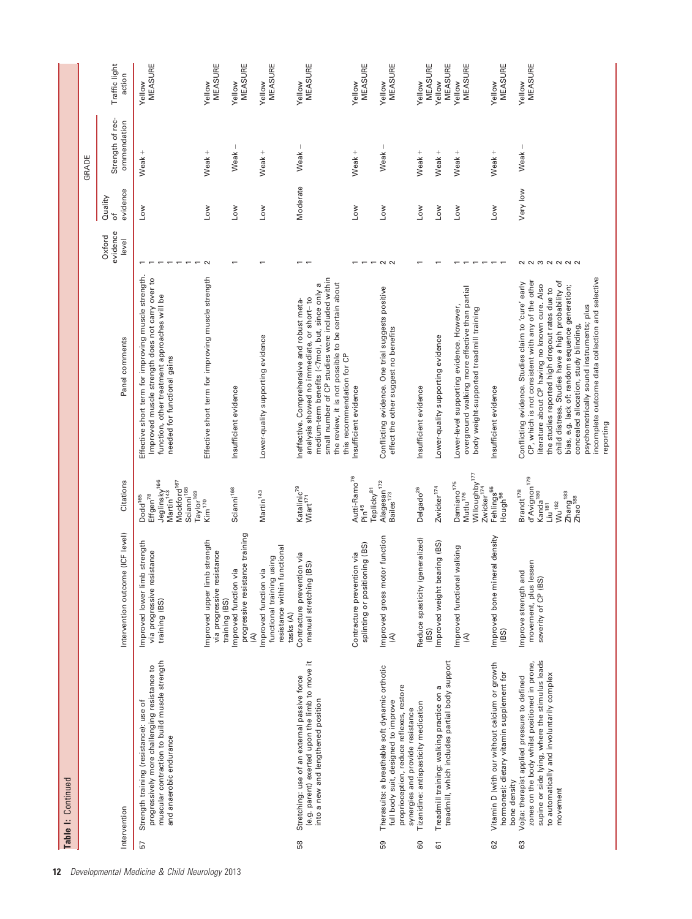|    | Table I: Continued                                                                                                                                                                                        |                                                                                                 |                                                                                                                                                                             |                                                                                                                                                                                                                                                                                                                                                                                                                                                                             |                             |                          |                                 |                          |
|----|-----------------------------------------------------------------------------------------------------------------------------------------------------------------------------------------------------------|-------------------------------------------------------------------------------------------------|-----------------------------------------------------------------------------------------------------------------------------------------------------------------------------|-----------------------------------------------------------------------------------------------------------------------------------------------------------------------------------------------------------------------------------------------------------------------------------------------------------------------------------------------------------------------------------------------------------------------------------------------------------------------------|-----------------------------|--------------------------|---------------------------------|--------------------------|
|    |                                                                                                                                                                                                           |                                                                                                 |                                                                                                                                                                             |                                                                                                                                                                                                                                                                                                                                                                                                                                                                             |                             |                          | GRADE                           |                          |
|    | Intervention                                                                                                                                                                                              | Intervention outcome (ICF level)                                                                | Citations                                                                                                                                                                   | Panel comments                                                                                                                                                                                                                                                                                                                                                                                                                                                              | evidence<br>Oxford<br>level | evidence<br>Quality<br>ď | Strength of rec-<br>ommendation | Traffic light<br>action  |
| 57 | muscular contraction to build muscle strength<br>progressively more challenging resistance to<br>Strength training (resistance): use of<br>and anaerobic endurance                                        | Improved lower limb strength<br>via progressive resistance<br>training (BS)                     | Jeglinsky <sup>166</sup><br>Mockford <sup>167</sup><br>Scianni <sup>168</sup><br>Martin <sup>143</sup><br>Taylor <sup>169</sup><br>$Effgen^{78}$<br>Dodd <sup>165</sup>     | Effective short term for improving muscle strength.<br>Improved muscle strength does not carry over to<br>function, other treatment approaches will be<br>needed for functional gains                                                                                                                                                                                                                                                                                       |                             | <b>NOT</b>               | Weak +                          | MEASURE<br>Yellow        |
|    |                                                                                                                                                                                                           | improved upper limb strength<br>via progressive resistance<br>training (BS)                     | $\text{Kim}^{170}$                                                                                                                                                          | Effective short term for improving muscle strength                                                                                                                                                                                                                                                                                                                                                                                                                          | $\sim$                      | <b>NOT</b>               | $Weak +$                        | <b>MEASURE</b><br>Yellow |
|    |                                                                                                                                                                                                           | progressive resistance training<br>Improved function via<br>€                                   | Scianni <sup>168</sup>                                                                                                                                                      | Insufficient evidence                                                                                                                                                                                                                                                                                                                                                                                                                                                       |                             | Low                      | Weak                            | <b>MEASURE</b><br>Yellow |
|    |                                                                                                                                                                                                           | resistance within functional<br>functional training using<br>Improved function via<br>tasks (A) | Martin <sup>143</sup>                                                                                                                                                       | Lower-quality supporting evidence                                                                                                                                                                                                                                                                                                                                                                                                                                           |                             | Low                      | $Weak +$                        | <b>MEASURE</b><br>Yellow |
| 58 | (e.g. parent) exerted upon the limb to move it<br>Stretching: use of an external passive force<br>into a new and lengthened position                                                                      | Contracture prevention via<br>manual stretching (BS)                                            | Katalinic <sup>79</sup><br>Wiart <sup>171</sup>                                                                                                                             | small number of CP studies were included within<br>the review, it is not possible to be certain about<br>medium-term benefits (<7mo), but, since only a<br>analysis showed no immediate, or short-to<br>Ineffective. Comprehensive and robust meta-<br>this recommendation for CP                                                                                                                                                                                           |                             | Moderate                 | Weak                            | <b>MEASURE</b><br>Yellow |
|    |                                                                                                                                                                                                           | splinting or positioning (BS)<br>Contracture prevention via                                     | Autti-Ramo <sup>76</sup><br>Pin <sup>45</sup><br>Teplicky <sup>81</sup>                                                                                                     | Insufficient evidence                                                                                                                                                                                                                                                                                                                                                                                                                                                       |                             | Low                      | $Weak +$                        | MEASURE<br>Yellow        |
| 59 | Therasuits: a breathable soft dynamic orthotic<br>proprioception, reduce reflexes, restore<br>full body suit, designed to improve<br>synergies and provide resistance                                     | otor function<br>Improved gross m<br>$\widehat{\mathcal{E}}$                                    | Alagesan <sup>172</sup><br>Bailes <sup>173</sup>                                                                                                                            | Conflicting evidence. One trial suggests positive<br>effect the other suggest no benefits                                                                                                                                                                                                                                                                                                                                                                                   | $\sim$ $\sim$               | Low                      | Weak                            | <b>MEASURE</b><br>Yellow |
| 60 | Tizanidine: antispasticity medication                                                                                                                                                                     | Reduce spasticity (generalized)<br>(BS)                                                         | Delgado <sup>26</sup>                                                                                                                                                       | Insufficient evidence                                                                                                                                                                                                                                                                                                                                                                                                                                                       |                             | <b>No7</b>               | $Weak +$                        | MEASURE<br>Yellow        |
| 61 | treadmill, which includes partial body support<br>Treadmill training: walking practice on a                                                                                                               | Improved weight bearing (BS)                                                                    | Zwicker <sup>174</sup>                                                                                                                                                      | Lower-quality supporting evidence                                                                                                                                                                                                                                                                                                                                                                                                                                           |                             | ΠoΜ                      | Weak $+$                        | <b>MEASURE</b><br>Yellow |
|    |                                                                                                                                                                                                           | al walking<br>Improved function<br>$\widehat{\mathcal{E}}$                                      | Willoughby <sup>177</sup><br>Damiano <sup>175</sup><br>Mutlu <sup>176</sup><br>Zwicker <sup>174</sup>                                                                       | overground walking more effective than partial<br>Lower-level supporting evidence. However,<br>body weight-supported treadmill training                                                                                                                                                                                                                                                                                                                                     |                             | Μοη                      | $Weak +$                        | <b>MEASURE</b><br>Yellow |
| 62 | Vitamin D (with our without calcium or growth<br>hormones): dietary vitamin supplement for<br>bone density                                                                                                | neral density<br>Improved bone mi<br>(BS)                                                       | Fehlings <sup>55</sup><br>Hough <sup>56</sup>                                                                                                                               | Insufficient evidence                                                                                                                                                                                                                                                                                                                                                                                                                                                       |                             | Μοη                      | $Weak +$                        | <b>MEASURE</b><br>Yellow |
| 63 | supine or side lying, where the stimulus leads<br>zones on the body whilst positioned in prone,<br>to automatically and involuntarily complex<br>Vojta: therapist applied pressure to defined<br>movement | movement, plus lessen<br>Improve strength and<br>severity of CP (BS)                            | d'Avignon <sup>179</sup><br>Kanda <sup>180</sup><br>$\ensuremath{\mathsf{Brandt}}^{178}$<br>Zhang <sup>183</sup><br>Zhao <sup>188</sup><br>$Wu^{182}$<br>Liu <sup>181</sup> | incomplete outcome data collection and selective<br>CP, which is not consistent with any of the other<br>child distress. Studies have a high probability of<br>Conflicting evidence. Studies claim to 'cure' early<br>literature about CP having no known cure. Also<br>bias, e.g. lack of: random sequence generation;<br>the studies reported high dropout rates due to<br>psychometrically sound instruments; plus<br>concealed allocation, study blinding,<br>reporting | <b>223223</b>               | Very low                 | Weak                            | <b>MEASURE</b><br>Yellow |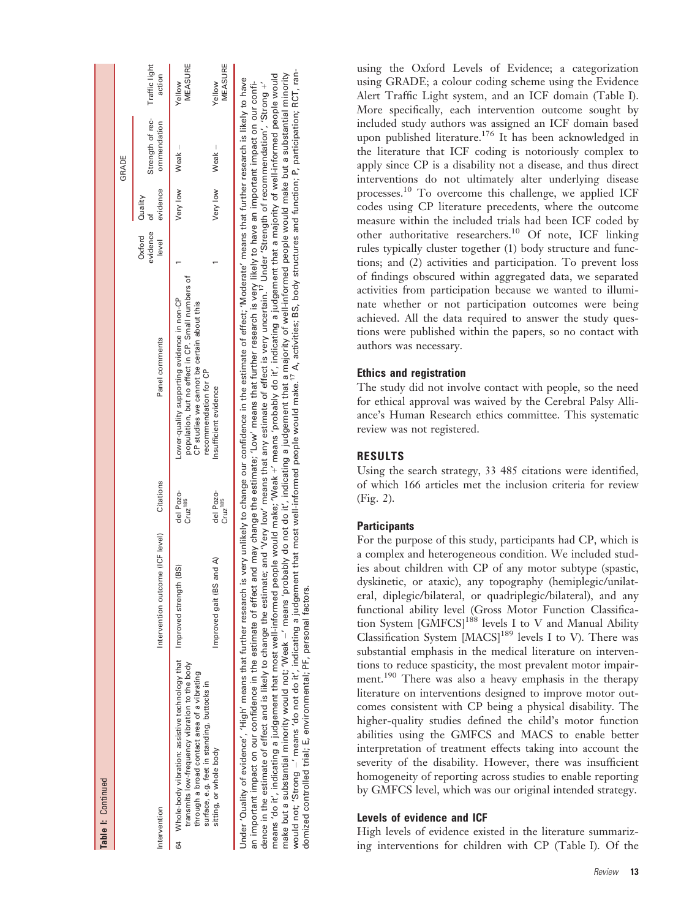| Table I: Continued                                                                                                                                                        |                                  |                                              |                                                                                                                                                                                               |                                     |          |                                               |                   |
|---------------------------------------------------------------------------------------------------------------------------------------------------------------------------|----------------------------------|----------------------------------------------|-----------------------------------------------------------------------------------------------------------------------------------------------------------------------------------------------|-------------------------------------|----------|-----------------------------------------------|-------------------|
|                                                                                                                                                                           |                                  |                                              |                                                                                                                                                                                               |                                     |          | GRADE                                         |                   |
| Intervention                                                                                                                                                              | Intervention outcome (ICF level) | Citations                                    | Panel comments                                                                                                                                                                                | Oxford Quality<br>evidence<br>level | evidence | Strength of rec- Traffic light<br>ommendation | action            |
| 64 Whole-body vibration: assistive technology that Improved strength (BS)<br>transmits low-frequency vibration to the body<br>through a broad contact area of a vibrating |                                  | del Pozo-<br>$Cruz185$                       | population, but no effect in CP. Small numbers of<br>Lower-quality supporting evidence in non-CP<br>CP studies we cannot be certain about this                                                |                                     | Very low | Weak -                                        | MEASURE<br>Yellow |
| surface, e.g. feet in standing, buttocks in<br>sitting, or whole body                                                                                                     | Improved gait (BS and A)         | del Pozo-<br>C <sub>ruz</sub> <sup>185</sup> | recommendation for CP<br>Insufficient evidence                                                                                                                                                |                                     | Very low | Weak -                                        | MEASURE<br>Yellow |
|                                                                                                                                                                           |                                  |                                              | Under 'Quality of evidence', 'High' means that further research is very unlikely to change our confidence in the estimate of effect; 'Moderate' means that further research is likely to have |                                     |          |                                               |                   |

means 'do it', indicating a judgement that most well-informed people would make; 'Weak +' means 'probably do it', indicating a judgement that a majority of well-informed people would<br>make but a substantial minority would n would not; 'Strong -' means 'do not do it', indicating a judgement that most well-informed people would make.<sup>17</sup> A, activities; BS, body structures and function; P, participation; RCT, ranmake but a substantial minority would not; 'Weak  $-'$  means 'probably do not do it', indicating a judgement that a majority of well-informed people would make but a substantial minority means 'do it', indicating a judgement that most well-informed people would make; 'Weak +' means 'probably do it', indicating a judgement that a majority of well-informed people would an important impact on our confidence in the estimate of effect and may change the estimate; 'Low' means that further research is very likely to have an important impact on our confi-<br>dence in the estimate of effect and is an important impact on our confidence in the estimate of effect and may change the estimate; 'Low' means that further research is very likely to have an important impact on our confidence in the estimate of effect and is likely to change the estimate; and 'Very low' means that any estimate of effect is very uncertain.<sup>17</sup> Under 'Strength of recommendation', 'Strong +' I minority would not; 'Weak -' means' probably do not do it', indicatin<br>means 'do not do it', indicating a judgement that most well-informed domized controlled trial; E, environmental; PF, personal factors. environmental; PF, personal factors. Шì would not; 'Strong –' me<br>domized controlled trial;

using the Oxford Levels of Evidence; a categorization using GRADE; a colour coding scheme using the Evidence Alert Traffic Light system, and an ICF domain (Table I). More specifically, each intervention outcome sought by included study authors was assigned an ICF domain based upon published literature.<sup>176</sup> It has been acknowledged in the literature that ICF coding is notoriously complex to apply since CP is a disability not a disease, and thus direct interventions do not ultimately alter underlying disease processes.<sup>10</sup> To overcome this challenge, we applied ICF codes using CP literature precedents, where the outcome measure within the included trials had been ICF coded by other authoritative researchers.10 Of note, ICF linking rules typically cluster together (1) body structure and functions; and (2) activities and participation. To prevent loss of findings obscured within aggregated data, we separated activities from participation because we wanted to illuminate whether or not participation outcomes were being achieved. All the data required to answer the study questions were published within the papers, so no contact with authors was necessary.

# Ethics and registration

The study did not involve contact with people, so the need for ethical approval was waived by the Cerebral Palsy Alliance's Human Research ethics committee. This systematic review was not registered.

# RESULTS

Using the search strategy, 33 485 citations were identified, of which 166 articles met the inclusion criteria for review (Fig. 2).

# **Participants**

For the purpose of this study, participants had CP, which is a complex and heterogeneous condition. We included studies about children with CP of any motor subtype (spastic, dyskinetic, or ataxic), any topography (hemiplegic/unilateral, diplegic/bilateral, or quadriplegic/bilateral), and any functional ability level (Gross Motor Function Classification System [GMFCS]<sup>188</sup> levels I to V and Manual Ability Classification System [MACS]<sup>189</sup> levels I to V). There was substantial emphasis in the medical literature on interventions to reduce spasticity, the most prevalent motor impairment.<sup>190</sup> There was also a heavy emphasis in the therapy literature on interventions designed to improve motor outcomes consistent with CP being a physical disability. The higher-quality studies defined the child's motor function abilities using the GMFCS and MACS to enable better interpretation of treatment effects taking into account the severity of the disability. However, there was insufficient homogeneity of reporting across studies to enable reporting by GMFCS level, which was our original intended strategy.

# Levels of evidence and ICF

High levels of evidence existed in the literature summarizing interventions for children with CP (Table I). Of the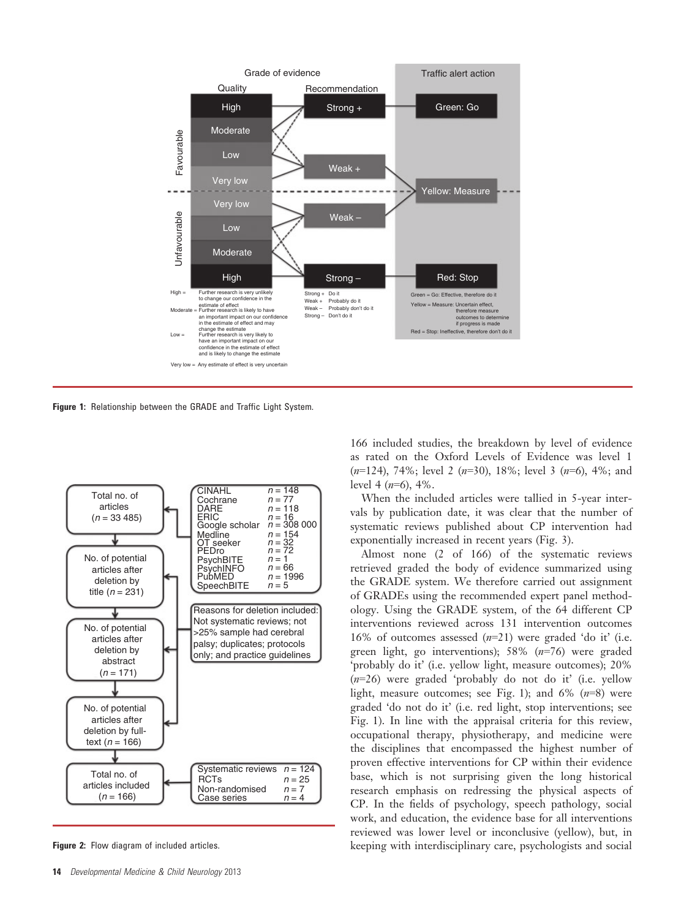

Figure 1: Relationship between the GRADE and Traffic Light System.



Figure 2: Flow diagram of included articles.

166 included studies, the breakdown by level of evidence as rated on the Oxford Levels of Evidence was level 1  $(n=124)$ , 74%; level 2  $(n=30)$ , 18%; level 3  $(n=6)$ , 4%; and level 4  $(n=6)$ , 4%.

When the included articles were tallied in 5-year intervals by publication date, it was clear that the number of systematic reviews published about CP intervention had exponentially increased in recent years (Fig. 3).

Almost none (2 of 166) of the systematic reviews retrieved graded the body of evidence summarized using the GRADE system. We therefore carried out assignment of GRADEs using the recommended expert panel methodology. Using the GRADE system, of the 64 different CP interventions reviewed across 131 intervention outcomes 16% of outcomes assessed  $(n=21)$  were graded 'do it' (i.e. green light, go interventions); 58%  $(n=76)$  were graded 'probably do it' (i.e. yellow light, measure outcomes); 20%  $(n=26)$  were graded 'probably do not do it' (i.e. yellow light, measure outcomes; see Fig. 1); and 6%  $(n=8)$  were graded 'do not do it' (i.e. red light, stop interventions; see Fig. 1). In line with the appraisal criteria for this review, occupational therapy, physiotherapy, and medicine were the disciplines that encompassed the highest number of proven effective interventions for CP within their evidence base, which is not surprising given the long historical research emphasis on redressing the physical aspects of CP. In the fields of psychology, speech pathology, social work, and education, the evidence base for all interventions reviewed was lower level or inconclusive (yellow), but, in keeping with interdisciplinary care, psychologists and social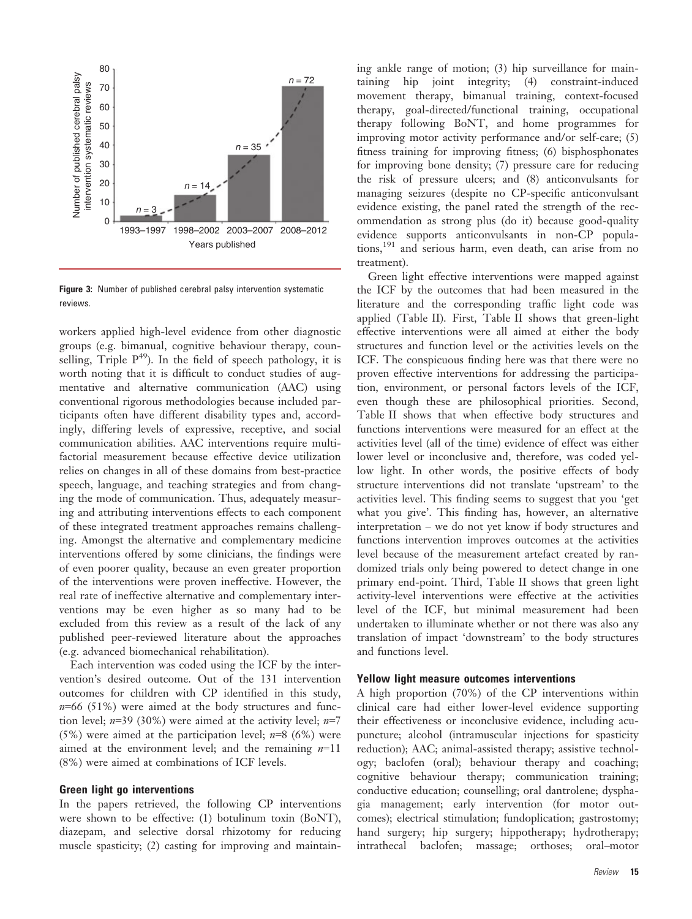

Figure 3: Number of published cerebral palsy intervention systematic reviews.

workers applied high-level evidence from other diagnostic groups (e.g. bimanual, cognitive behaviour therapy, counselling, Triple  $P^{49}$ ). In the field of speech pathology, it is worth noting that it is difficult to conduct studies of augmentative and alternative communication (AAC) using conventional rigorous methodologies because included participants often have different disability types and, accordingly, differing levels of expressive, receptive, and social communication abilities. AAC interventions require multifactorial measurement because effective device utilization relies on changes in all of these domains from best-practice speech, language, and teaching strategies and from changing the mode of communication. Thus, adequately measuring and attributing interventions effects to each component of these integrated treatment approaches remains challenging. Amongst the alternative and complementary medicine interventions offered by some clinicians, the findings were of even poorer quality, because an even greater proportion of the interventions were proven ineffective. However, the real rate of ineffective alternative and complementary interventions may be even higher as so many had to be excluded from this review as a result of the lack of any published peer-reviewed literature about the approaches (e.g. advanced biomechanical rehabilitation).

Each intervention was coded using the ICF by the intervention's desired outcome. Out of the 131 intervention outcomes for children with CP identified in this study,  $n=66$  (51%) were aimed at the body structures and function level;  $n=39$  (30%) were aimed at the activity level;  $n=7$ (5%) were aimed at the participation level;  $n=8$  (6%) were aimed at the environment level; and the remaining  $n=11$ (8%) were aimed at combinations of ICF levels.

#### Green light go interventions

In the papers retrieved, the following CP interventions were shown to be effective: (1) botulinum toxin (BoNT), diazepam, and selective dorsal rhizotomy for reducing muscle spasticity; (2) casting for improving and maintain-

ing ankle range of motion; (3) hip surveillance for maintaining hip joint integrity; (4) constraint-induced movement therapy, bimanual training, context-focused therapy, goal-directed/functional training, occupational therapy following BoNT, and home programmes for improving motor activity performance and/or self-care; (5) fitness training for improving fitness; (6) bisphosphonates for improving bone density; (7) pressure care for reducing the risk of pressure ulcers; and (8) anticonvulsants for managing seizures (despite no CP-specific anticonvulsant evidence existing, the panel rated the strength of the recommendation as strong plus (do it) because good-quality evidence supports anticonvulsants in non-CP populations,<sup>191</sup> and serious harm, even death, can arise from no treatment).

Green light effective interventions were mapped against the ICF by the outcomes that had been measured in the literature and the corresponding traffic light code was applied (Table II). First, Table II shows that green-light effective interventions were all aimed at either the body structures and function level or the activities levels on the ICF. The conspicuous finding here was that there were no proven effective interventions for addressing the participation, environment, or personal factors levels of the ICF, even though these are philosophical priorities. Second, Table II shows that when effective body structures and functions interventions were measured for an effect at the activities level (all of the time) evidence of effect was either lower level or inconclusive and, therefore, was coded yellow light. In other words, the positive effects of body structure interventions did not translate 'upstream' to the activities level. This finding seems to suggest that you 'get what you give'. This finding has, however, an alternative interpretation – we do not yet know if body structures and functions intervention improves outcomes at the activities level because of the measurement artefact created by randomized trials only being powered to detect change in one primary end-point. Third, Table II shows that green light activity-level interventions were effective at the activities level of the ICF, but minimal measurement had been undertaken to illuminate whether or not there was also any translation of impact 'downstream' to the body structures and functions level.

#### Yellow light measure outcomes interventions

A high proportion (70%) of the CP interventions within clinical care had either lower-level evidence supporting their effectiveness or inconclusive evidence, including acupuncture; alcohol (intramuscular injections for spasticity reduction); AAC; animal-assisted therapy; assistive technology; baclofen (oral); behaviour therapy and coaching; cognitive behaviour therapy; communication training; conductive education; counselling; oral dantrolene; dysphagia management; early intervention (for motor outcomes); electrical stimulation; fundoplication; gastrostomy; hand surgery; hip surgery; hippotherapy; hydrotherapy; intrathecal baclofen; massage; orthoses; oral–motor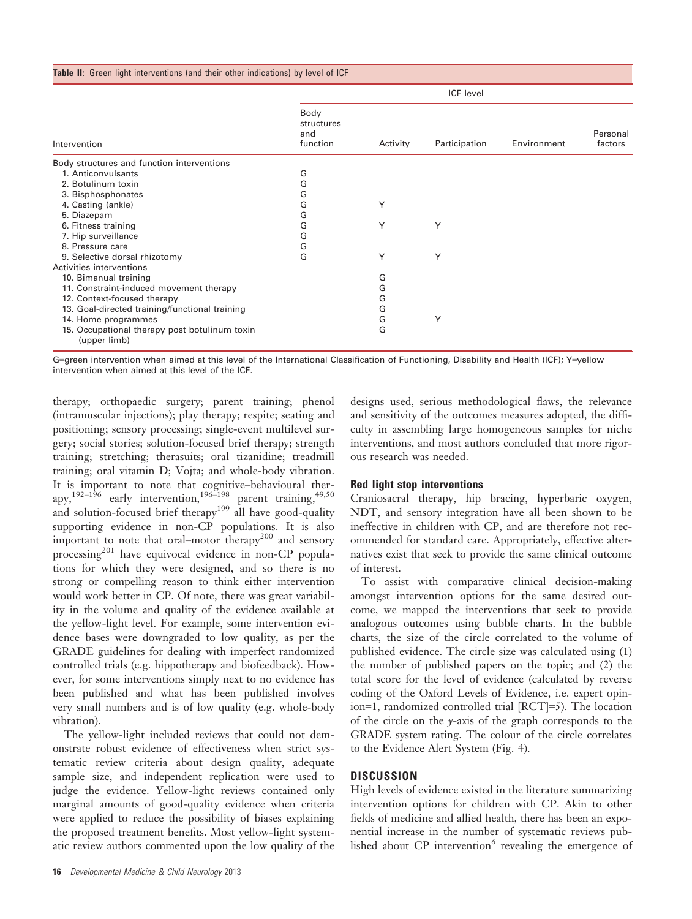#### Table II: Green light interventions (and their other indications) by level of ICF

|                                                               |                                       |          | ICF level     |             |                     |
|---------------------------------------------------------------|---------------------------------------|----------|---------------|-------------|---------------------|
| Intervention                                                  | Body<br>structures<br>and<br>function | Activity | Participation | Environment | Personal<br>factors |
| Body structures and function interventions                    |                                       |          |               |             |                     |
| 1. Anticonvulsants                                            | G                                     |          |               |             |                     |
| 2. Botulinum toxin                                            | G                                     |          |               |             |                     |
| 3. Bisphosphonates                                            | G                                     |          |               |             |                     |
| 4. Casting (ankle)                                            | G                                     | Υ        |               |             |                     |
| 5. Diazepam                                                   | G                                     |          |               |             |                     |
| 6. Fitness training                                           | G                                     | Y        | Υ             |             |                     |
| 7. Hip surveillance                                           | G                                     |          |               |             |                     |
| 8. Pressure care                                              | G                                     |          |               |             |                     |
| 9. Selective dorsal rhizotomy                                 | G                                     | Υ        | Υ             |             |                     |
| Activities interventions                                      |                                       |          |               |             |                     |
| 10. Bimanual training                                         |                                       | G        |               |             |                     |
| 11. Constraint-induced movement therapy                       |                                       | G        |               |             |                     |
| 12. Context-focused therapy                                   |                                       | G        |               |             |                     |
| 13. Goal-directed training/functional training                |                                       | G        |               |             |                     |
| 14. Home programmes                                           |                                       | G        | Υ             |             |                     |
| 15. Occupational therapy post botulinum toxin<br>(upper limb) |                                       | G        |               |             |                     |

G=green intervention when aimed at this level of the International Classification of Functioning, Disability and Health (ICF); Y=yellow intervention when aimed at this level of the ICF.

therapy; orthopaedic surgery; parent training; phenol (intramuscular injections); play therapy; respite; seating and positioning; sensory processing; single-event multilevel surgery; social stories; solution-focused brief therapy; strength training; stretching; therasuits; oral tizanidine; treadmill training; oral vitamin D; Vojta; and whole-body vibration. It is important to note that cognitive–behavioural therapy,  $192-196$  early intervention,  $196-198$  parent training,  $49,50$ and solution-focused brief therapy<sup>199</sup> all have good-quality supporting evidence in non-CP populations. It is also important to note that oral–motor therapy<sup>200</sup> and sensory processing<sup>201</sup> have equivocal evidence in non-CP populations for which they were designed, and so there is no strong or compelling reason to think either intervention would work better in CP. Of note, there was great variability in the volume and quality of the evidence available at the yellow-light level. For example, some intervention evidence bases were downgraded to low quality, as per the GRADE guidelines for dealing with imperfect randomized controlled trials (e.g. hippotherapy and biofeedback). However, for some interventions simply next to no evidence has been published and what has been published involves very small numbers and is of low quality (e.g. whole-body vibration).

The yellow-light included reviews that could not demonstrate robust evidence of effectiveness when strict systematic review criteria about design quality, adequate sample size, and independent replication were used to judge the evidence. Yellow-light reviews contained only marginal amounts of good-quality evidence when criteria were applied to reduce the possibility of biases explaining the proposed treatment benefits. Most yellow-light systematic review authors commented upon the low quality of the

16 Developmental Medicine & Child Neurology 2013

designs used, serious methodological flaws, the relevance and sensitivity of the outcomes measures adopted, the difficulty in assembling large homogeneous samples for niche interventions, and most authors concluded that more rigorous research was needed.

### Red light stop interventions

Craniosacral therapy, hip bracing, hyperbaric oxygen, NDT, and sensory integration have all been shown to be ineffective in children with CP, and are therefore not recommended for standard care. Appropriately, effective alternatives exist that seek to provide the same clinical outcome of interest.

To assist with comparative clinical decision-making amongst intervention options for the same desired outcome, we mapped the interventions that seek to provide analogous outcomes using bubble charts. In the bubble charts, the size of the circle correlated to the volume of published evidence. The circle size was calculated using (1) the number of published papers on the topic; and (2) the total score for the level of evidence (calculated by reverse coding of the Oxford Levels of Evidence, i.e. expert opinion=1, randomized controlled trial [RCT]=5). The location of the circle on the  $y$ -axis of the graph corresponds to the GRADE system rating. The colour of the circle correlates to the Evidence Alert System (Fig. 4).

# DISCUSSION

High levels of evidence existed in the literature summarizing intervention options for children with CP. Akin to other fields of medicine and allied health, there has been an exponential increase in the number of systematic reviews published about  $\text{CP}$  intervention<sup>6</sup> revealing the emergence of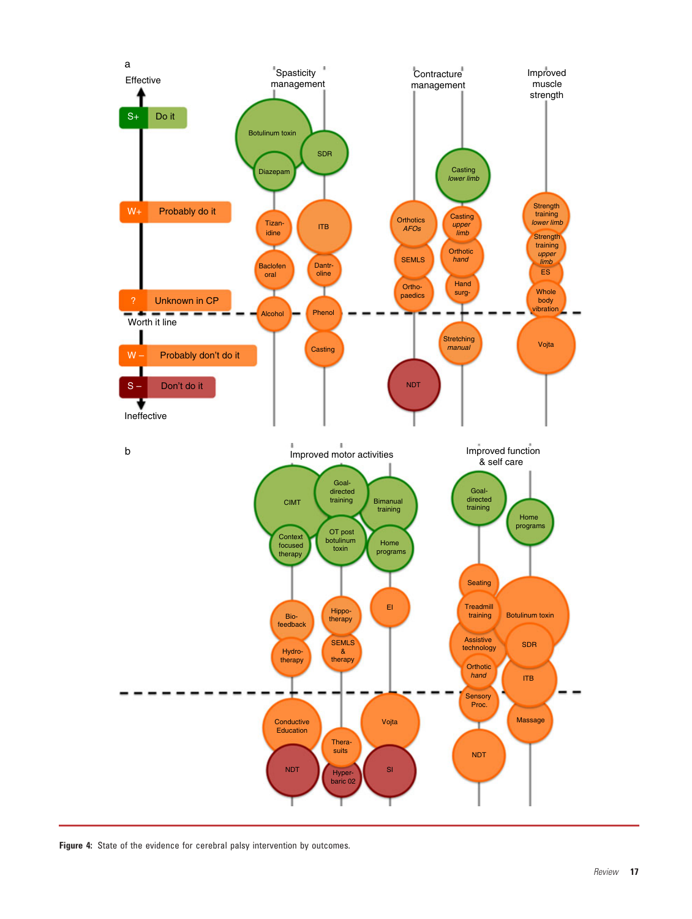

Figure 4: State of the evidence for cerebral palsy intervention by outcomes.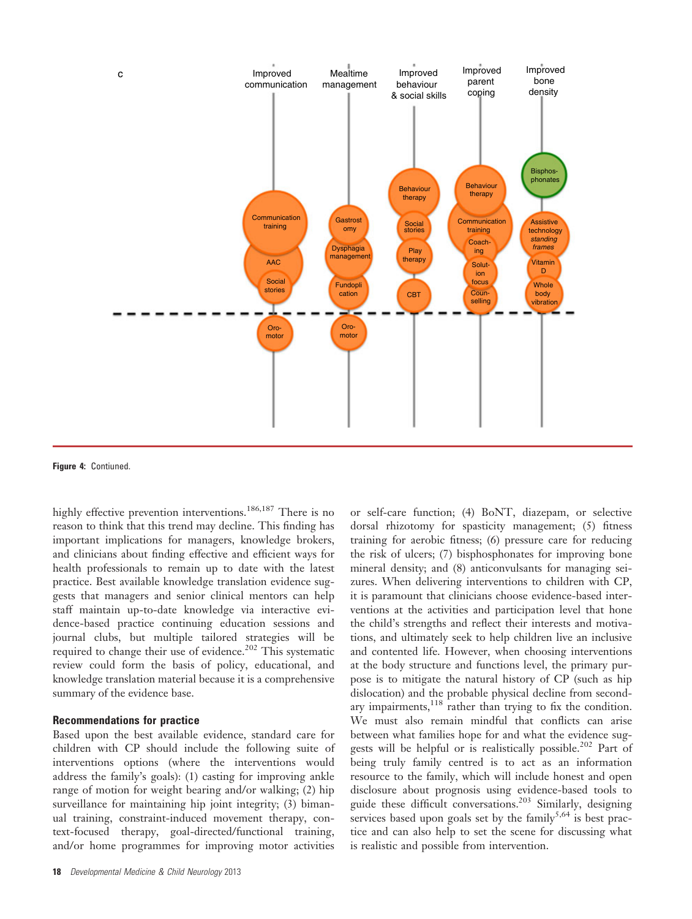

Figure 4: Contiuned.

highly effective prevention interventions.<sup>186,187</sup> There is no reason to think that this trend may decline. This finding has important implications for managers, knowledge brokers, and clinicians about finding effective and efficient ways for health professionals to remain up to date with the latest practice. Best available knowledge translation evidence suggests that managers and senior clinical mentors can help staff maintain up-to-date knowledge via interactive evidence-based practice continuing education sessions and journal clubs, but multiple tailored strategies will be required to change their use of evidence.<sup>202</sup> This systematic review could form the basis of policy, educational, and knowledge translation material because it is a comprehensive summary of the evidence base.

### Recommendations for practice

Based upon the best available evidence, standard care for children with CP should include the following suite of interventions options (where the interventions would address the family's goals): (1) casting for improving ankle range of motion for weight bearing and/or walking; (2) hip surveillance for maintaining hip joint integrity; (3) bimanual training, constraint-induced movement therapy, context-focused therapy, goal-directed/functional training, and/or home programmes for improving motor activities

or self-care function; (4) BoNT, diazepam, or selective dorsal rhizotomy for spasticity management; (5) fitness training for aerobic fitness; (6) pressure care for reducing the risk of ulcers; (7) bisphosphonates for improving bone mineral density; and (8) anticonvulsants for managing seizures. When delivering interventions to children with CP, it is paramount that clinicians choose evidence-based interventions at the activities and participation level that hone the child's strengths and reflect their interests and motivations, and ultimately seek to help children live an inclusive and contented life. However, when choosing interventions at the body structure and functions level, the primary purpose is to mitigate the natural history of CP (such as hip dislocation) and the probable physical decline from secondary impairments, $^{118}$  rather than trying to fix the condition. We must also remain mindful that conflicts can arise between what families hope for and what the evidence suggests will be helpful or is realistically possible.<sup>202</sup> Part of being truly family centred is to act as an information resource to the family, which will include honest and open disclosure about prognosis using evidence-based tools to guide these difficult conversations.<sup>203</sup> Similarly, designing services based upon goals set by the family<sup>5,64</sup> is best practice and can also help to set the scene for discussing what is realistic and possible from intervention.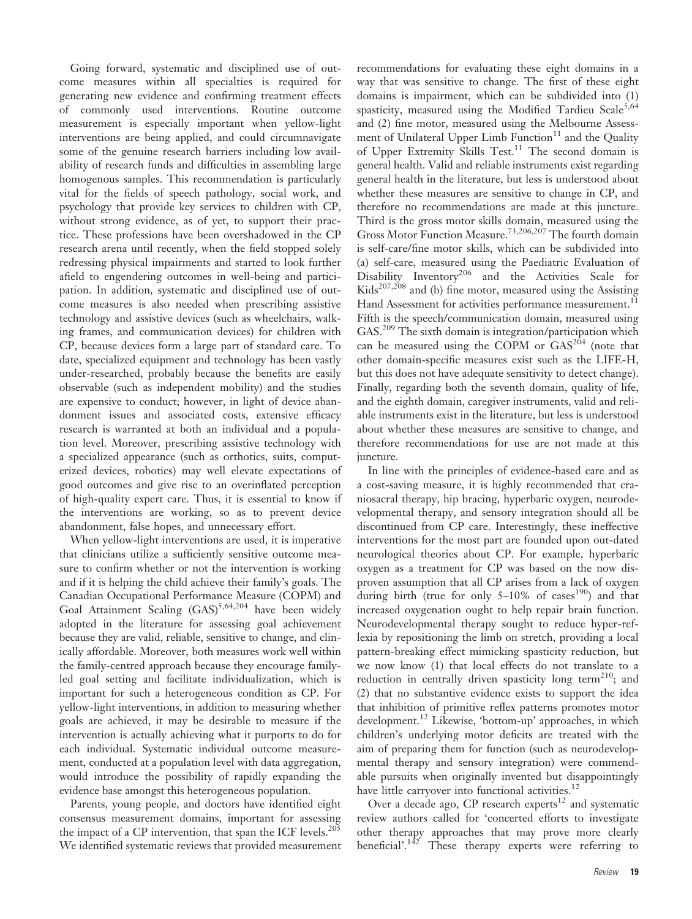Going forward, systematic and disciplined use of outcome measures within all specialties is required for generating new evidence and confirming treatment effects of commonly used interventions. Routine outcome measurement is especially important when yellow-light interventions are being applied, and could circumnavigate some of the genuine research barriers including low availability of research funds and difficulties in assembling large homogenous samples. This recommendation is particularly vital for the fields of speech pathology, social work, and psychology that provide key services to children with CP, without strong evidence, as of yet, to support their practice. These professions have been overshadowed in the CP research arena until recently, when the field stopped solely redressing physical impairments and started to look further afield to engendering outcomes in well-being and participation. In addition, systematic and disciplined use of outcome measures is also needed when prescribing assistive technology and assistive devices (such as wheelchairs, walking frames, and communication devices) for children with CP, because devices form a large part of standard care. To date, specialized equipment and technology has been vastly under-researched, probably because the benefits are easily observable (such as independent mobility) and the studies are expensive to conduct; however, in light of device abandonment issues and associated costs, extensive efficacy research is warranted at both an individual and a population level. Moreover, prescribing assistive technology with a specialized appearance (such as orthotics, suits, computerized devices, robotics) may well elevate expectations of good outcomes and give rise to an overinflated perception of high-quality expert care. Thus, it is essential to know if the interventions are working, so as to prevent device abandonment, false hopes, and unnecessary effort.

When yellow-light interventions are used, it is imperative that clinicians utilize a sufficiently sensitive outcome measure to confirm whether or not the intervention is working and if it is helping the child achieve their family's goals. The Canadian Occupational Performance Measure (COPM) and Goal Attainment Scaling  $(GAS)^{5,64,204}$  have been widely adopted in the literature for assessing goal achievement because they are valid, reliable, sensitive to change, and clinically affordable. Moreover, both measures work well within the family-centred approach because they encourage familyled goal setting and facilitate individualization, which is important for such a heterogeneous condition as CP. For yellow-light interventions, in addition to measuring whether goals are achieved, it may be desirable to measure if the intervention is actually achieving what it purports to do for each individual. Systematic individual outcome measurement, conducted at a population level with data aggregation, would introduce the possibility of rapidly expanding the evidence base amongst this heterogeneous population.

Parents, young people, and doctors have identified eight consensus measurement domains, important for assessing the impact of a CP intervention, that span the ICF levels.<sup>205</sup> We identified systematic reviews that provided measurement

recommendations for evaluating these eight domains in a way that was sensitive to change. The first of these eight domains is impairment, which can be subdivided into (1) spasticity, measured using the Modified Tardieu Scale<sup>5,64</sup> and (2) fine motor, measured using the Melbourne Assessment of Unilateral Upper Limb Function<sup>11</sup> and the Quality of Upper Extremity Skills Test.<sup>11</sup> The second domain is general health. Valid and reliable instruments exist regarding general health in the literature, but less is understood about whether these measures are sensitive to change in CP, and therefore no recommendations are made at this juncture. Third is the gross motor skills domain, measured using the Gross Motor Function Measure.73,206,207 The fourth domain is self-care/fine motor skills, which can be subdivided into (a) self-care, measured using the Paediatric Evaluation of Disability Inventory<sup>206</sup> and the Activities Scale for Kids<sup>207,208</sup> and (b) fine motor, measured using the Assisting Hand Assessment for activities performance measurement.<sup>11</sup> Fifth is the speech/communication domain, measured using GAS.<sup>209</sup> The sixth domain is integration/participation which can be measured using the COPM or  $GAS^{204}$  (note that other domain-specific measures exist such as the LIFE-H, but this does not have adequate sensitivity to detect change). Finally, regarding both the seventh domain, quality of life, and the eighth domain, caregiver instruments, valid and reliable instruments exist in the literature, but less is understood about whether these measures are sensitive to change, and therefore recommendations for use are not made at this juncture.

In line with the principles of evidence-based care and as a cost-saving measure, it is highly recommended that craniosacral therapy, hip bracing, hyperbaric oxygen, neurodevelopmental therapy, and sensory integration should all be discontinued from CP care. Interestingly, these ineffective interventions for the most part are founded upon out-dated neurological theories about CP. For example, hyperbaric oxygen as a treatment for CP was based on the now disproven assumption that all CP arises from a lack of oxygen during birth (true for only  $5-10\%$  of cases<sup>190</sup>) and that increased oxygenation ought to help repair brain function. Neurodevelopmental therapy sought to reduce hyper-reflexia by repositioning the limb on stretch, providing a local pattern-breaking effect mimicking spasticity reduction, but we now know (1) that local effects do not translate to a reduction in centrally driven spasticity long term<sup>210</sup>; and (2) that no substantive evidence exists to support the idea that inhibition of primitive reflex patterns promotes motor development.<sup>12</sup> Likewise, 'bottom-up' approaches, in which children's underlying motor deficits are treated with the aim of preparing them for function (such as neurodevelopmental therapy and sensory integration) were commendable pursuits when originally invented but disappointingly have little carryover into functional activities.<sup>12</sup>

Over a decade ago, CP research experts $12$  and systematic review authors called for 'concerted efforts to investigate other therapy approaches that may prove more clearly beneficial'.<sup>142</sup> These therapy experts were referring to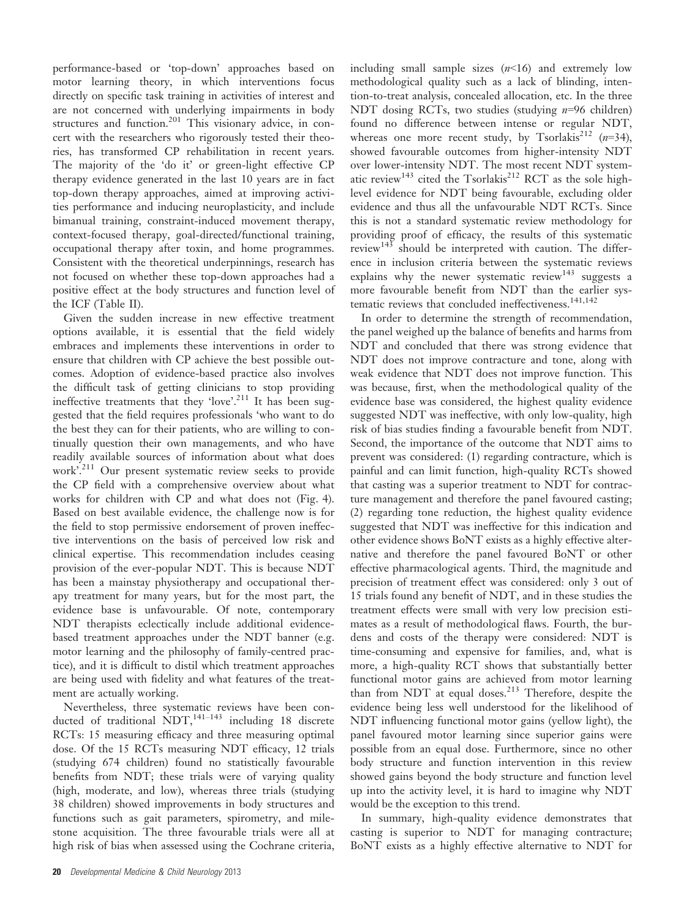performance-based or 'top-down' approaches based on motor learning theory, in which interventions focus directly on specific task training in activities of interest and are not concerned with underlying impairments in body structures and function.<sup>201</sup> This visionary advice, in concert with the researchers who rigorously tested their theories, has transformed CP rehabilitation in recent years. The majority of the 'do it' or green-light effective CP therapy evidence generated in the last 10 years are in fact top-down therapy approaches, aimed at improving activities performance and inducing neuroplasticity, and include bimanual training, constraint-induced movement therapy, context-focused therapy, goal-directed/functional training, occupational therapy after toxin, and home programmes. Consistent with the theoretical underpinnings, research has not focused on whether these top-down approaches had a positive effect at the body structures and function level of the ICF (Table II).

Given the sudden increase in new effective treatment options available, it is essential that the field widely embraces and implements these interventions in order to ensure that children with CP achieve the best possible outcomes. Adoption of evidence-based practice also involves the difficult task of getting clinicians to stop providing ineffective treatments that they 'love'.<sup>211</sup> It has been suggested that the field requires professionals 'who want to do the best they can for their patients, who are willing to continually question their own managements, and who have readily available sources of information about what does work'.211 Our present systematic review seeks to provide the CP field with a comprehensive overview about what works for children with CP and what does not (Fig. 4). Based on best available evidence, the challenge now is for the field to stop permissive endorsement of proven ineffective interventions on the basis of perceived low risk and clinical expertise. This recommendation includes ceasing provision of the ever-popular NDT. This is because NDT has been a mainstay physiotherapy and occupational therapy treatment for many years, but for the most part, the evidence base is unfavourable. Of note, contemporary NDT therapists eclectically include additional evidencebased treatment approaches under the NDT banner (e.g. motor learning and the philosophy of family-centred practice), and it is difficult to distil which treatment approaches are being used with fidelity and what features of the treatment are actually working.

Nevertheless, three systematic reviews have been conducted of traditional  $NDT,$ <sup>141-143</sup> including 18 discrete</sup> RCTs: 15 measuring efficacy and three measuring optimal dose. Of the 15 RCTs measuring NDT efficacy, 12 trials (studying 674 children) found no statistically favourable benefits from NDT; these trials were of varying quality (high, moderate, and low), whereas three trials (studying 38 children) showed improvements in body structures and functions such as gait parameters, spirometry, and milestone acquisition. The three favourable trials were all at high risk of bias when assessed using the Cochrane criteria,

including small sample sizes  $(n<16)$  and extremely low methodological quality such as a lack of blinding, intention-to-treat analysis, concealed allocation, etc. In the three NDT dosing RCTs, two studies (studying  $n=96$  children) found no difference between intense or regular NDT, whereas one more recent study, by Tsorlakis<sup>212</sup> ( $n=34$ ), showed favourable outcomes from higher-intensity NDT over lower-intensity NDT. The most recent NDT systematic review<sup>143</sup> cited the Tsorlakis<sup>212</sup> RCT as the sole highlevel evidence for NDT being favourable, excluding older evidence and thus all the unfavourable NDT RCTs. Since this is not a standard systematic review methodology for providing proof of efficacy, the results of this systematic review<sup>143</sup> should be interpreted with caution. The difference in inclusion criteria between the systematic reviews explains why the newer systematic review<sup>143</sup> suggests a more favourable benefit from NDT than the earlier systematic reviews that concluded ineffectiveness.<sup>141,142</sup>

In order to determine the strength of recommendation, the panel weighed up the balance of benefits and harms from NDT and concluded that there was strong evidence that NDT does not improve contracture and tone, along with weak evidence that NDT does not improve function. This was because, first, when the methodological quality of the evidence base was considered, the highest quality evidence suggested NDT was ineffective, with only low-quality, high risk of bias studies finding a favourable benefit from NDT. Second, the importance of the outcome that NDT aims to prevent was considered: (1) regarding contracture, which is painful and can limit function, high-quality RCTs showed that casting was a superior treatment to NDT for contracture management and therefore the panel favoured casting; (2) regarding tone reduction, the highest quality evidence suggested that NDT was ineffective for this indication and other evidence shows BoNT exists as a highly effective alternative and therefore the panel favoured BoNT or other effective pharmacological agents. Third, the magnitude and precision of treatment effect was considered: only 3 out of 15 trials found any benefit of NDT, and in these studies the treatment effects were small with very low precision estimates as a result of methodological flaws. Fourth, the burdens and costs of the therapy were considered: NDT is time-consuming and expensive for families, and, what is more, a high-quality RCT shows that substantially better functional motor gains are achieved from motor learning than from NDT at equal doses.<sup>213</sup> Therefore, despite the evidence being less well understood for the likelihood of NDT influencing functional motor gains (yellow light), the panel favoured motor learning since superior gains were possible from an equal dose. Furthermore, since no other body structure and function intervention in this review showed gains beyond the body structure and function level up into the activity level, it is hard to imagine why NDT would be the exception to this trend.

In summary, high-quality evidence demonstrates that casting is superior to NDT for managing contracture; BoNT exists as a highly effective alternative to NDT for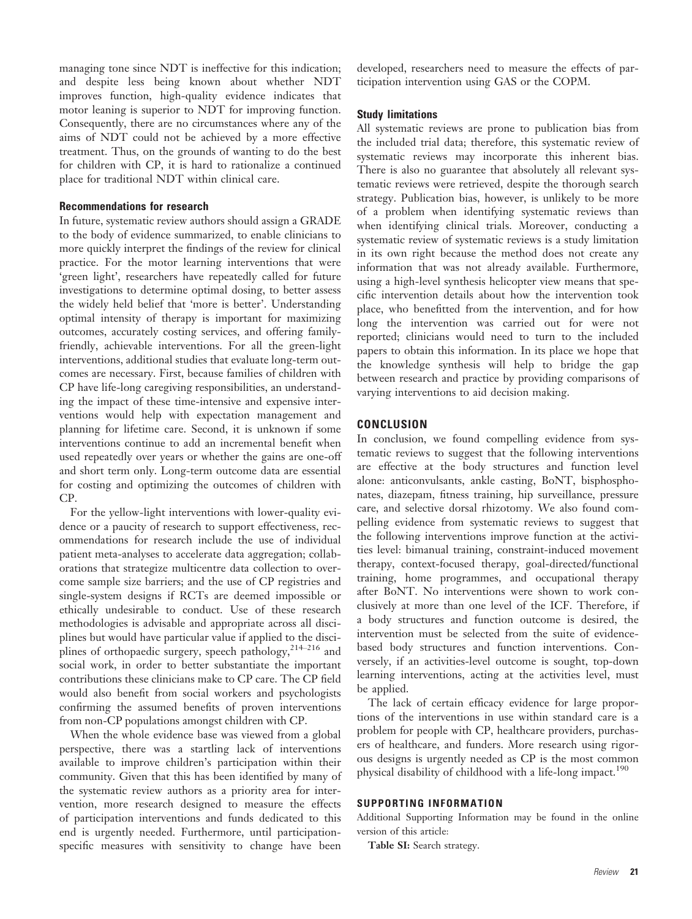managing tone since NDT is ineffective for this indication; and despite less being known about whether NDT improves function, high-quality evidence indicates that motor leaning is superior to NDT for improving function. Consequently, there are no circumstances where any of the aims of NDT could not be achieved by a more effective treatment. Thus, on the grounds of wanting to do the best for children with CP, it is hard to rationalize a continued place for traditional NDT within clinical care.

### Recommendations for research

In future, systematic review authors should assign a GRADE to the body of evidence summarized, to enable clinicians to more quickly interpret the findings of the review for clinical practice. For the motor learning interventions that were 'green light', researchers have repeatedly called for future investigations to determine optimal dosing, to better assess the widely held belief that 'more is better'. Understanding optimal intensity of therapy is important for maximizing outcomes, accurately costing services, and offering familyfriendly, achievable interventions. For all the green-light interventions, additional studies that evaluate long-term outcomes are necessary. First, because families of children with CP have life-long caregiving responsibilities, an understanding the impact of these time-intensive and expensive interventions would help with expectation management and planning for lifetime care. Second, it is unknown if some interventions continue to add an incremental benefit when used repeatedly over years or whether the gains are one-off and short term only. Long-term outcome data are essential for costing and optimizing the outcomes of children with CP.

For the yellow-light interventions with lower-quality evidence or a paucity of research to support effectiveness, recommendations for research include the use of individual patient meta-analyses to accelerate data aggregation; collaborations that strategize multicentre data collection to overcome sample size barriers; and the use of CP registries and single-system designs if RCTs are deemed impossible or ethically undesirable to conduct. Use of these research methodologies is advisable and appropriate across all disciplines but would have particular value if applied to the disciplines of orthopaedic surgery, speech pathology,<sup>214–216</sup> and social work, in order to better substantiate the important contributions these clinicians make to CP care. The CP field would also benefit from social workers and psychologists confirming the assumed benefits of proven interventions from non-CP populations amongst children with CP.

When the whole evidence base was viewed from a global perspective, there was a startling lack of interventions available to improve children's participation within their community. Given that this has been identified by many of the systematic review authors as a priority area for intervention, more research designed to measure the effects of participation interventions and funds dedicated to this end is urgently needed. Furthermore, until participationspecific measures with sensitivity to change have been

developed, researchers need to measure the effects of participation intervention using GAS or the COPM.

### Study limitations

All systematic reviews are prone to publication bias from the included trial data; therefore, this systematic review of systematic reviews may incorporate this inherent bias. There is also no guarantee that absolutely all relevant systematic reviews were retrieved, despite the thorough search strategy. Publication bias, however, is unlikely to be more of a problem when identifying systematic reviews than when identifying clinical trials. Moreover, conducting a systematic review of systematic reviews is a study limitation in its own right because the method does not create any information that was not already available. Furthermore, using a high-level synthesis helicopter view means that specific intervention details about how the intervention took place, who benefitted from the intervention, and for how long the intervention was carried out for were not reported; clinicians would need to turn to the included papers to obtain this information. In its place we hope that the knowledge synthesis will help to bridge the gap between research and practice by providing comparisons of varying interventions to aid decision making.

### **CONCLUSION**

In conclusion, we found compelling evidence from systematic reviews to suggest that the following interventions are effective at the body structures and function level alone: anticonvulsants, ankle casting, BoNT, bisphosphonates, diazepam, fitness training, hip surveillance, pressure care, and selective dorsal rhizotomy. We also found compelling evidence from systematic reviews to suggest that the following interventions improve function at the activities level: bimanual training, constraint-induced movement therapy, context-focused therapy, goal-directed/functional training, home programmes, and occupational therapy after BoNT. No interventions were shown to work conclusively at more than one level of the ICF. Therefore, if a body structures and function outcome is desired, the intervention must be selected from the suite of evidencebased body structures and function interventions. Conversely, if an activities-level outcome is sought, top-down learning interventions, acting at the activities level, must be applied.

The lack of certain efficacy evidence for large proportions of the interventions in use within standard care is a problem for people with CP, healthcare providers, purchasers of healthcare, and funders. More research using rigorous designs is urgently needed as CP is the most common physical disability of childhood with a life-long impact.<sup>190</sup>

### SUPPORTING INFORMATION

Additional Supporting Information may be found in the online version of this article:

Table SI: Search strategy.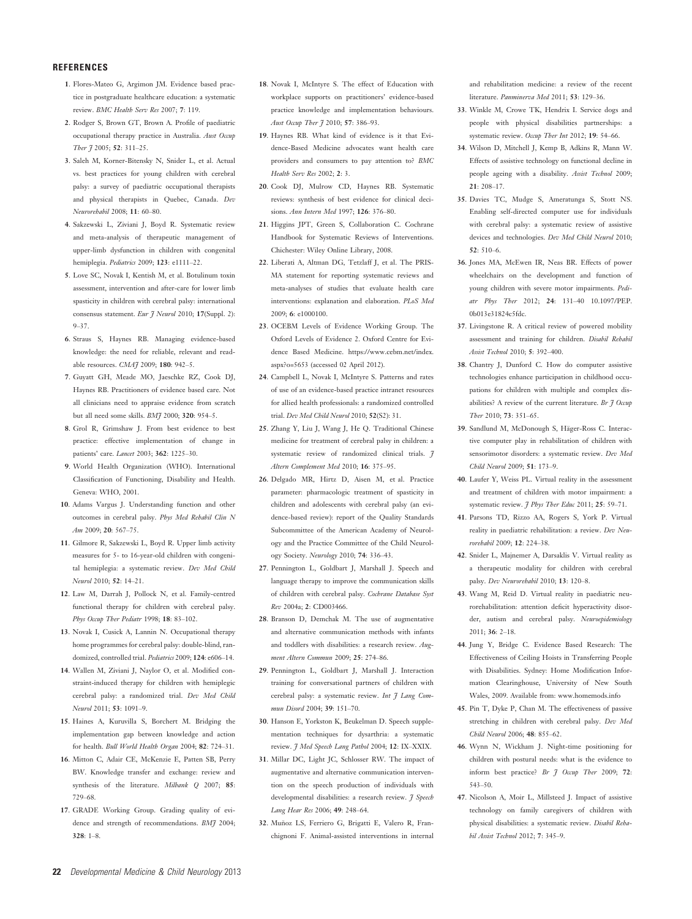#### **REFERENCES**

- 1. Flores-Mateo G, Argimon JM. Evidence based practice in postgraduate healthcare education: a systematic review. BMC Health Serv Res 2007; 7: 119.
- 2. Rodger S, Brown GT, Brown A. Profile of paediatric occupational therapy practice in Australia. Aust Occup  $There 7 2005: 52: 311–25.$
- 3. Saleh M, Korner-Bitensky N, Snider L, et al. Actual vs. best practices for young children with cerebral palsy: a survey of paediatric occupational therapists and physical therapists in Quebec, Canada. Dev Neurorehabil 2008; 11: 60–80.
- 4. Sakzewski L, Ziviani J, Boyd R. Systematic review and meta-analysis of therapeutic management of upper-limb dysfunction in children with congenital hemiplegia. Pediatrics 2009; 123: e1111–22.
- 5. Love SC, Novak I, Kentish M, et al. Botulinum toxin assessment, intervention and after-care for lower limb spasticity in children with cerebral palsy: international consensus statement. Eur 7 Neurol 2010; 17(Suppl. 2): 9–37.
- 6. Straus S, Haynes RB. Managing evidence-based knowledge: the need for reliable, relevant and readable resources. CMA<sub>7</sub> 2009: 180: 942-5.
- 7. Guyatt GH, Meade MO, Jaeschke RZ, Cook DJ, Haynes RB. Practitioners of evidence based care. Not all clinicians need to appraise evidence from scratch but all need some skills. *BM*7 2000: 320: 954-5.
- 8. Grol R, Grimshaw J. From best evidence to best practice: effective implementation of change in patients' care. Lancet 2003; 362: 1225–30.
- 9. World Health Organization (WHO). International Classification of Functioning, Disability and Health. Geneva: WHO, 2001.
- 10. Adams Vargus J. Understanding function and other outcomes in cerebral palsy. Phys Med Rehabil Clin N Am 2009; 20: 567–75.
- 11. Gilmore R, Sakzewski L, Boyd R. Upper limb activity measures for 5- to 16-year-old children with congenital hemiplegia: a systematic review. Dev Med Child Neurol 2010; 52: 14–21.
- 12. Law M, Darrah J, Pollock N, et al. Family-centred functional therapy for children with cerebral palsy. Phys Occup Ther Pediatr 1998; 18: 83–102.
- 13. Novak I, Cusick A, Lannin N. Occupational therapy home programmes for cerebral palsy: double-blind, randomized, controlled trial. Pediatrics 2009; 124: e606–14.
- 14. Wallen M, Ziviani J, Naylor O, et al. Modified constraint-induced therapy for children with hemiplegic cerebral palsy: a randomized trial. Dev Med Child Neurol 2011; 53: 1091–9.
- 15. Haines A, Kuruvilla S, Borchert M. Bridging the implementation gap between knowledge and action for health. Bull World Health Organ 2004; 82: 724–31.
- 16. Mitton C, Adair CE, McKenzie E, Patten SB, Perry BW. Knowledge transfer and exchange: review and synthesis of the literature. Milbank Q 2007; 85: 729–68.
- 17. GRADE Working Group. Grading quality of evidence and strength of recommendations. BMJ 2004; 328: 1–8.
- 18. Novak I, McIntyre S. The effect of Education with workplace supports on practitioners' evidence-based practice knowledge and implementation behaviours. Aust Occup Ther  $72010$ ; 57: 386-93.
- 19. Haynes RB. What kind of evidence is it that Evidence-Based Medicine advocates want health care providers and consumers to pay attention to? BMC Health Serv Res 2002; 2: 3.
- 20. Cook DJ, Mulrow CD, Haynes RB. Systematic reviews: synthesis of best evidence for clinical decisions. Ann Intern Med 1997; 126: 376–80.
- 21. Higgins JPT, Green S, Collaboration C. Cochrane Handbook for Systematic Reviews of Interventions. Chichester: Wiley Online Library, 2008.
- 22. Liberati A, Altman DG, Tetzlaff J, et al. The PRIS-MA statement for reporting systematic reviews and meta-analyses of studies that evaluate health care interventions: explanation and elaboration. PLoS Med 2009; 6: e1000100.
- 23. OCEBM Levels of Evidence Working Group. The Oxford Levels of Evidence 2. Oxford Centre for Evidence Based Medicine. https://www.cebm.net/index. aspx?o=5653 (accessed 02 April 2012).
- 24. Campbell L, Novak I, McIntyre S. Patterns and rates of use of an evidence-based practice intranet resources for allied health professionals: a randomized controlled trial. Dev Med Child Neurol 2010; 52(S2): 31.
- 25. Zhang Y, Liu J, Wang J, He Q. Traditional Chinese medicine for treatment of cerebral palsy in children: a systematic review of randomized clinical trials.  $\tilde{f}$ Altern Complement Med 2010; 16: 375–95.
- 26. Delgado MR, Hirtz D, Aisen M, et al. Practice parameter: pharmacologic treatment of spasticity in children and adolescents with cerebral palsy (an evidence-based review): report of the Quality Standards Subcommittee of the American Academy of Neurology and the Practice Committee of the Child Neurology Society. Neurology 2010; 74: 336–43.
- 27. Pennington L, Goldbart J, Marshall J. Speech and language therapy to improve the communication skills of children with cerebral palsy. Cochrane Database Syst Rev 2004a; 2: CD003466.
- 28. Branson D, Demchak M. The use of augmentative and alternative communication methods with infants and toddlers with disabilities: a research review. Augment Altern Commun 2009; 25: 274–86.
- 29. Pennington L, Goldbart J, Marshall J. Interaction training for conversational partners of children with cerebral palsy: a systematic review. Int 7 Lang Commun Disord 2004; 39: 151–70.
- 30. Hanson E, Yorkston K, Beukelman D. Speech supplementation techniques for dysarthria: a systematic review. J Med Speech Lang Pathol 2004; 12: IX–XXIX.
- 31. Millar DC, Light JC, Schlosser RW. The impact of augmentative and alternative communication intervention on the speech production of individuals with developmental disabilities: a research review. 7 Speech Lang Hear Res 2006; 49: 248–64.
- 32. Muñoz LS, Ferriero G, Brigatti E, Valero R, Franchignoni F. Animal-assisted interventions in internal

and rehabilitation medicine: a review of the recent literature. Panminerva Med 2011: 53: 129-36.

- 33. Winkle M, Crowe TK, Hendrix I. Service dogs and people with physical disabilities partnerships: a systematic review. Occup Ther Int 2012; 19: 54-66.
- 34. Wilson D, Mitchell J, Kemp B, Adkins R, Mann W. Effects of assistive technology on functional decline in people ageing with a disability. Assist Technol 2009; 21: 208–17.
- 35. Davies TC, Mudge S, Ameratunga S, Stott NS. Enabling self-directed computer use for individuals with cerebral palsy: a systematic review of assistive devices and technologies. Dev Med Child Neurol 2010;  $52 \cdot 510 - 6$
- 36. Jones MA, McEwen IR, Neas BR. Effects of power wheelchairs on the development and function of young children with severe motor impairments. Pediatr Phys Ther 2012; 24: 131–40 10.1097/PEP. 0b013e31824c5fdc.
- 37. Livingstone R. A critical review of powered mobility assessment and training for children. Disabil Rehabil Assist Technol 2010; 5: 392–400.
- 38. Chantry J, Dunford C. How do computer assistive technologies enhance participation in childhood occupations for children with multiple and complex disabilities? A review of the current literature. Br  $7$  Occup Ther 2010; 73: 351–65.
- 39. Sandlund M, McDonough S, Häger-Ross C. Interactive computer play in rehabilitation of children with sensorimotor disorders: a systematic review. Dev Med Child Neurol 2009; 51: 173–9.
- 40. Laufer Y, Weiss PL. Virtual reality in the assessment and treatment of children with motor impairment: a systematic review. J Phys Ther Educ 2011; 25: 59-71.
- 41. Parsons TD, Rizzo AA, Rogers S, York P. Virtual reality in paediatric rehabilitation: a review. Dev Neurorehabil 2009; 12: 224–38.
- 42. Snider L, Majnemer A, Darsaklis V. Virtual reality as a therapeutic modality for children with cerebral palsy. Dev Neurorehabil 2010; 13: 120-8.
- 43. Wang M, Reid D. Virtual reality in paediatric neurorehabilitation: attention deficit hyperactivity disorder, autism and cerebral palsy. Neuroepidemiology 2011; 36: 2–18.
- 44. Jung Y, Bridge C. Evidence Based Research: The Effectiveness of Ceiling Hoists in Transferring People with Disabilities. Sydney: Home Modification Information Clearinghouse, University of New South Wales, 2009. Available from: www.homemods.info
- 45. Pin T, Dyke P, Chan M. The effectiveness of passive stretching in children with cerebral palsy. Dev Med Child Neurol 2006; 48: 855–62.
- 46. Wynn N, Wickham J. Night-time positioning for children with postural needs: what is the evidence to inform best practice? Br  $\widetilde{f}$  Occup Ther 2009; 72: 543–50.
- 47. Nicolson A, Moir L, Millsteed J. Impact of assistive technology on family caregivers of children with physical disabilities: a systematic review. Disabil Rehabil Assist Technol 2012; 7: 345–9.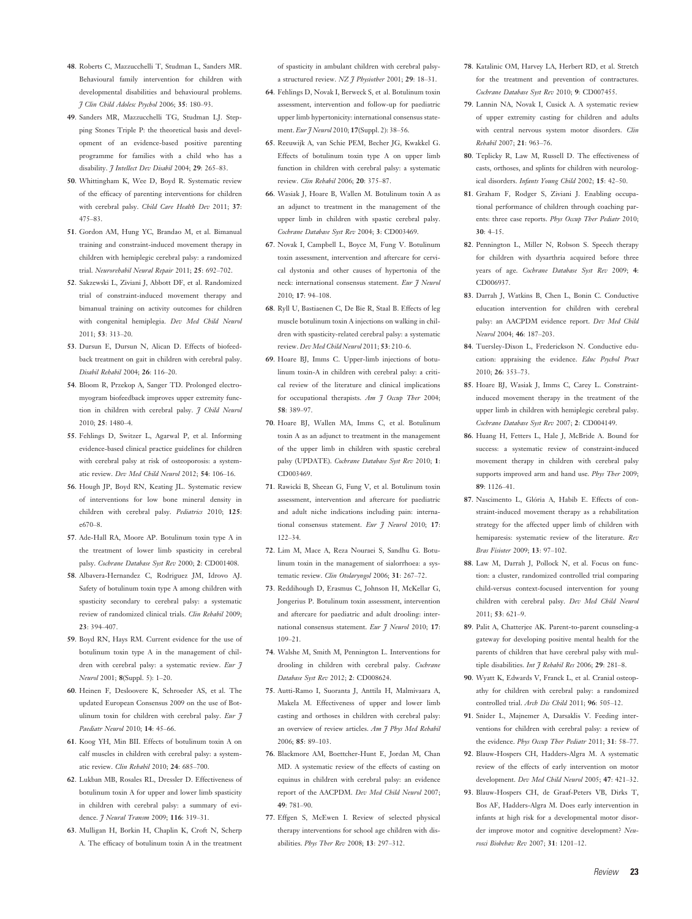- 48. Roberts C, Mazzucchelli T, Studman L, Sanders MR. Behavioural family intervention for children with developmental disabilities and behavioural problems. J Clin Child Adolesc Psychol 2006; 35: 180–93.
- 49. Sanders MR, Mazzucchelli TG, Studman LJ. Stepping Stones Triple P: the theoretical basis and development of an evidence-based positive parenting programme for families with a child who has a disability. *I Intellect Dev Disabil* 2004: 29: 265-83.
- 50. Whittingham K, Wee D, Boyd R. Systematic review of the efficacy of parenting interventions for children with cerebral palsy. Child Care Health Dev 2011: 37: 475–83.
- 51. Gordon AM, Hung YC, Brandao M, et al. Bimanual training and constraint-induced movement therapy in children with hemiplegic cerebral palsy: a randomized trial. Neurorehabil Neural Repair 2011; 25: 692–702.
- 52. Sakzewski L, Ziviani J, Abbott DF, et al. Randomized trial of constraint-induced movement therapy and bimanual training on activity outcomes for children with congenital hemiplegia. Dev Med Child Neurol 2011; 53: 313–20.
- 53. Dursun E, Dursun N, Alican D. Effects of biofeedback treatment on gait in children with cerebral palsy. Disabil Rehabil 2004; 26: 116–20.
- 54. Bloom R, Przekop A, Sanger TD. Prolonged electromyogram biofeedback improves upper extremity function in children with cerebral palsy.  $\tilde{f}$  Child Neurol 2010; 25: 1480–4.
- 55. Fehlings D, Switzer L, Agarwal P, et al. Informing evidence-based clinical practice guidelines for children with cerebral palsy at risk of osteoporosis: a systematic review. Dev Med Child Neurol 2012; 54: 106–16.
- 56. Hough JP, Boyd RN, Keating JL. Systematic review of interventions for low bone mineral density in children with cerebral palsy. Pediatrics 2010; 125: e670–8.
- 57. Ade-Hall RA, Moore AP. Botulinum toxin type A in the treatment of lower limb spasticity in cerebral palsy. Cochrane Database Syst Rev 2000; 2: CD001408.
- 58. Albavera-Hernandez C, Rodriguez JM, Idrovo AJ. Safety of botulinum toxin type A among children with spasticity secondary to cerebral palsy: a systematic review of randomized clinical trials. Clin Rehabil 2009; 23: 394–407.
- 59. Boyd RN, Hays RM. Current evidence for the use of botulinum toxin type A in the management of children with cerebral palsy: a systematic review. Eur  $\mathcal{F}$ Neurol 2001; 8(Suppl. 5): 1–20.
- 60. Heinen F, Desloovere K, Schroeder AS, et al. The updated European Consensus 2009 on the use of Botulinum toxin for children with cerebral palsy. Eur  $\hat{J}$ Paediatr Neurol 2010; 14: 45–66.
- 61. Koog YH, Min BII. Effects of botulinum toxin A on calf muscles in children with cerebral palsy: a systematic review. Clin Rehabil 2010; 24: 685–700.
- 62. Lukban MB, Rosales RL, Dressler D. Effectiveness of botulinum toxin A for upper and lower limb spasticity in children with cerebral palsy: a summary of evidence. *J Neural Transm* 2009; 116: 319-31.
- 63. Mulligan H, Borkin H, Chaplin K, Croft N, Scherp A. The efficacy of botulinum toxin A in the treatment

of spasticity in ambulant children with cerebral palsya structured review. NZ  $7$  Physiother 2001; 29: 18-31.

- 64. Fehlings D, Novak I, Berweck S, et al. Botulinum toxin assessment, intervention and follow-up for paediatric upper limb hypertonicity: international consensus statement. *Eur 7 Neurol* 2010: 17(Suppl. 2): 38-56.
- 65. Reeuwijk A, van Schie PEM, Becher JG, Kwakkel G. Effects of botulinum toxin type A on upper limb function in children with cerebral palsy: a systematic review. Clin Rehabil 2006; 20: 375–87.
- 66. Wasiak J, Hoare B, Wallen M. Botulinum toxin A as an adjunct to treatment in the management of the upper limb in children with spastic cerebral palsy. Cochrane Database Syst Rev 2004; 3: CD003469.
- 67. Novak I, Campbell L, Boyce M, Fung V. Botulinum toxin assessment, intervention and aftercare for cervical dystonia and other causes of hypertonia of the neck: international consensus statement. Eur J Neurol 2010; 17: 94–108.
- 68. Ryll U, Bastiaenen C, De Bie R, Staal B. Effects of leg muscle botulinum toxin A injections on walking in children with spasticity-related cerebral palsy: a systematic review. Dev Med Child Neurol 2011; 53: 210–6.
- 69. Hoare BJ, Imms C. Upper-limb injections of botulinum toxin-A in children with cerebral palsy: a critical review of the literature and clinical implications for occupational therapists. Am  $\widetilde{f}$  Occup Ther 2004; 58: 389–97.
- 70. Hoare BJ, Wallen MA, Imms C, et al. Botulinum toxin A as an adjunct to treatment in the management of the upper limb in children with spastic cerebral palsy (UPDATE). Cochrane Database Syst Rev 2010; 1: CD003469.
- 71. Rawicki B, Sheean G, Fung V, et al. Botulinum toxin assessment, intervention and aftercare for paediatric and adult niche indications including pain: international consensus statement. Eur 7 Neurol 2010; 17: 122–34.
- 72. Lim M, Mace A, Reza Nouraei S, Sandhu G. Botulinum toxin in the management of sialorrhoea: a systematic review. Clin Otolaryngol 2006; 31: 267-72.
- 73. Reddihough D, Erasmus C, Johnson H, McKellar G, Jongerius P. Botulinum toxin assessment, intervention and aftercare for paediatric and adult drooling: international consensus statement. Eur 7 Neurol 2010: 17: 109–21.
- 74. Walshe M, Smith M, Pennington L. Interventions for drooling in children with cerebral palsy. Cochrane Database Syst Rev 2012; 2: CD008624.
- 75. Autti-Ramo I, Suoranta J, Anttila H, Malmivaara A, Makela M. Effectiveness of upper and lower limb casting and orthoses in children with cerebral palsy: an overview of review articles. Am J Phys Med Rehabil 2006; 85: 89–103.
- 76. Blackmore AM, Boettcher-Hunt E, Jordan M, Chan MD. A systematic review of the effects of casting on equinus in children with cerebral palsy: an evidence report of the AACPDM. Dev Med Child Neurol 2007; 49: 781–90.
- 77. Effgen S, McEwen I. Review of selected physical therapy interventions for school age children with disabilities. Phys Ther Rev 2008; 13: 297–312.
- 78. Katalinic OM, Harvey LA, Herbert RD, et al. Stretch for the treatment and prevention of contractures Cochrane Database Syst Rev 2010; 9: CD007455.
- 79. Lannin NA, Novak I, Cusick A. A systematic review of upper extremity casting for children and adults with central nervous system motor disorders. Clin Rehabil 2007; 21: 963–76.
- 80. Teplicky R, Law M, Russell D. The effectiveness of casts, orthoses, and splints for children with neurological disorders. Infants Young Child 2002; 15: 42–50.
- 81. Graham F, Rodger S, Ziviani J. Enabling occupational performance of children through coaching parents: three case reports. Phys Occup Ther Pediatr 2010; 30: 4–15.
- 82. Pennington L, Miller N, Robson S. Speech therapy for children with dysarthria acquired before three years of age. Cochrane Database Syst Rev 2009; 4: CD006937.
- 83. Darrah J, Watkins B, Chen L, Bonin C. Conductive education intervention for children with cerebral palsy: an AACPDM evidence report. Dev Med Child Neurol 2004; 46: 187–203.
- 84. Tuersley-Dixon L, Frederickson N. Conductive education: appraising the evidence. Educ Psychol Pract 2010; 26: 353–73.
- 85. Hoare BJ, Wasiak J, Imms C, Carey L. Constraintinduced movement therapy in the treatment of the upper limb in children with hemiplegic cerebral palsy. Cochrane Database Syst Rev 2007; 2: CD004149.
- 86. Huang H, Fetters L, Hale J, McBride A. Bound for success: a systematic review of constraint-induced movement therapy in children with cerebral palsy supports improved arm and hand use. Phys Ther 2009; 89: 1126–41.
- 87. Nascimento L, Glória A, Habib E, Effects of constraint-induced movement therapy as a rehabilitation strategy for the affected upper limb of children with hemiparesis: systematic review of the literature. Rev. Bras Fisioter 2009; 13: 97–102.
- 88. Law M, Darrah J, Pollock N, et al. Focus on function: a cluster, randomized controlled trial comparing child-versus context-focused intervention for young children with cerebral palsy. Dev Med Child Neurol  $2011 \cdot 53 \cdot 621 - 9$
- 89. Palit A, Chatterjee AK. Parent-to-parent counseling-a gateway for developing positive mental health for the parents of children that have cerebral palsy with multiple disabilities. Int J Rehabil Res 2006; 29: 281-8.
- 90. Wyatt K, Edwards V, Franck L, et al. Cranial osteopathy for children with cerebral palsy: a randomized controlled trial. Arch Dis Child 2011; 96: 505–12.
- 91. Snider L, Majnemer A, Darsaklis V. Feeding interventions for children with cerebral palsy: a review of the evidence. Phys Occup Ther Pediatr 2011; 31: 58-77.
- 92. Blauw-Hospers CH, Hadders-Algra M. A systematic review of the effects of early intervention on motor development. Dev Med Child Neurol 2005; 47: 421–32.
- 93. Blauw-Hospers CH, de Graaf-Peters VB, Dirks T, Bos AF, Hadders-Algra M. Does early intervention in infants at high risk for a developmental motor disorder improve motor and cognitive development? Neurosci Biobehav Rev 2007; 31: 1201–12.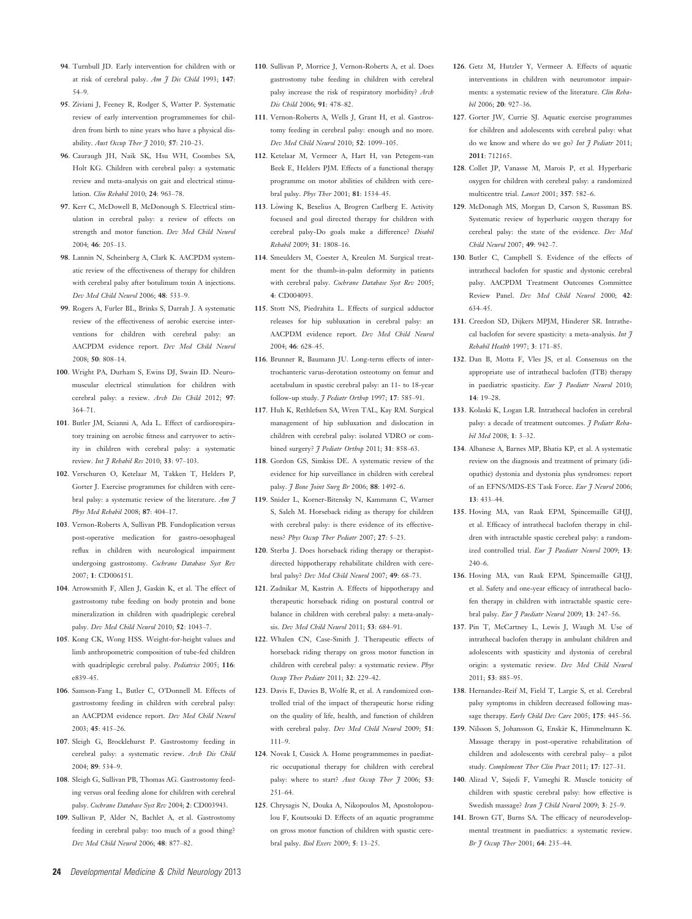- 94. Turnbull JD. Early intervention for children with or at risk of cerebral palsy.  $Am \nightharpoondown D$ is Child 1993; 147: 54–9.
- 95. Ziviani J, Feeney R, Rodger S, Watter P. Systematic review of early intervention programmemes for children from birth to nine years who have a physical disability. Aust Occup Ther  $\widetilde{\jmath}$  2010; 57: 210-23.
- 96. Cauraugh JH, Naik SK, Hsu WH, Coombes SA, Holt KG. Children with cerebral palsy: a systematic review and meta-analysis on gait and electrical stimulation. Clin Rehabil 2010; 24: 963–78.
- 97. Kerr C, McDowell B, McDonough S. Electrical stimulation in cerebral palsy: a review of effects on strength and motor function. Dev Med Child Neurol 2004; 46: 205–13.
- 98. Lannin N, Scheinberg A, Clark K. AACPDM systematic review of the effectiveness of therapy for children with cerebral palsy after botulinum toxin A injections. Dev Med Child Neurol 2006; 48: 533–9.
- 99. Rogers A, Furler BL, Brinks S, Darrah J. A systematic review of the effectiveness of aerobic exercise interventions for children with cerebral palsy: an AACPDM evidence report. Dev Med Child Neurol 2008; 50: 808–14.
- 100. Wright PA, Durham S, Ewins DJ, Swain ID. Neuromuscular electrical stimulation for children with cerebral palsy: a review. Arch Dis Child 2012; 97: 364–71.
- 101. Butler JM, Scianni A, Ada L. Effect of cardiorespiratory training on aerobic fitness and carryover to activity in children with cerebral palsy: a systematic review. *Int 7 Rehabil Res* 2010: 33: 97-103.
- 102. Verschuren O, Ketelaar M, Takken T, Helders P, Gorter J. Exercise programmes for children with cerebral palsy: a systematic review of the literature. Am 7 Phys Med Rehabil 2008; 87: 404–17.
- 103. Vernon-Roberts A, Sullivan PB. Fundoplication versus post-operative medication for gastro-oesophageal reflux in children with neurological impairment undergoing gastrostomy. Cochrane Database Syst Rev 2007; 1: CD006151.
- 104. Arrowsmith F, Allen J, Gaskin K, et al. The effect of gastrostomy tube feeding on body protein and bone mineralization in children with quadriplegic cerebral palsy. Dev Med Child Neurol 2010; 52: 1043–7.
- 105. Kong CK, Wong HSS. Weight-for-height values and limb anthropometric composition of tube-fed children with quadriplegic cerebral palsy. Pediatrics 2005; 116: e839–45.
- 106. Samson-Fang L, Butler C, O'Donnell M. Effects of gastrostomy feeding in children with cerebral palsy: an AACPDM evidence report. Dev Med Child Neurol 2003; 45: 415–26.
- 107. Sleigh G, Brocklehurst P. Gastrostomy feeding in cerebral palsy: a systematic review. Arch Dis Child 2004; 89: 534–9.
- 108. Sleigh G, Sullivan PB, Thomas AG. Gastrostomy feeding versus oral feeding alone for children with cerebral palsy. Cochrane Database Syst Rev 2004; 2: CD003943.
- 109. Sullivan P, Alder N, Bachlet A, et al. Gastrostomy feeding in cerebral palsy: too much of a good thing? Dev Med Child Neurol 2006; 48: 877–82.
- 110. Sullivan P, Morrice J, Vernon-Roberts A, et al. Does gastrostomy tube feeding in children with cerebral palsy increase the risk of respiratory morbidity? Arch Dis Child 2006; 91: 478–82.
- 111. Vernon-Roberts A, Wells J, Grant H, et al. Gastrostomy feeding in cerebral palsy: enough and no more. Dev Med Child Neurol 2010; 52: 1099–105.
- 112. Ketelaar M, Vermeer A, Hart H, van Petegem-van Beek E, Helders PJM. Effects of a functional therapy programme on motor abilities of children with cerebral palsy. Phys Ther 2001; 81: 1534–45.
- 113. Löwing K, Bexelius A, Brogren Carlberg E. Activity focused and goal directed therapy for children with cerebral palsy-Do goals make a difference? Disabil Rehabil 2009; 31: 1808–16.
- 114. Smeulders M, Coester A, Kreulen M. Surgical treatment for the thumb-in-palm deformity in patients with cerebral palsy. Cochrane Database Syst Rev 2005: 4: CD004093.
- 115. Stott NS, Piedrahita L. Effects of surgical adductor releases for hip subluxation in cerebral palsy: an AACPDM evidence report. Dev Med Child Neurol 2004; 46: 628–45.
- 116. Brunner R, Baumann JU. Long-term effects of intertrochanteric varus-derotation osteotomy on femur and acetabulum in spastic cerebral palsy: an 11- to 18-year follow-up study. *J Pediatr Orthop* 1997; 17: 585-91.
- 117. Huh K, Rethlefsen SA, Wren TAL, Kay RM. Surgical management of hip subluxation and dislocation in children with cerebral palsy: isolated VDRO or combined surgery? *J Pediatr Orthop* 2011; 31: 858-63.
- 118. Gordon GS, Simkiss DE. A systematic review of the evidence for hip surveillance in children with cerebral palsy. J Bone Joint Surg Br 2006; 88: 1492–6.
- 119. Snider L, Korner-Bitensky N, Kammann C, Warner S, Saleh M. Horseback riding as therapy for children with cerebral palsy: is there evidence of its effectiveness? Phys Occup Ther Pediatr 2007; 27: 5-23.
- 120. Sterba J. Does horseback riding therapy or therapistdirected hippotherapy rehabilitate children with cerebral palsy? Dev Med Child Neurol 2007; 49: 68–73.
- 121. Zadnikar M, Kastrin A. Effects of hippotherapy and therapeutic horseback riding on postural control or balance in children with cerebral palsy: a meta-analysis. Dev Med Child Neurol 2011; 53: 684–91.
- 122. Whalen CN, Case-Smith J. Therapeutic effects of horseback riding therapy on gross motor function in children with cerebral palsy: a systematic review. Phys Occup Ther Pediatr 2011; 32: 229–42.
- 123. Davis E, Davies B, Wolfe R, et al. A randomized controlled trial of the impact of therapeutic horse riding on the quality of life, health, and function of children with cerebral palsy. Dev Med Child Neurol 2009; 51: 111–9.
- 124. Novak I, Cusick A. Home programmemes in paediatric occupational therapy for children with cerebral palsy: where to start? Aust Occup Ther  $\widetilde{\jmath}$  2006; 53: 251–64.
- 125. Chrysagis N, Douka A, Nikopoulos M, Apostolopoulou F, Koutsouki D. Effects of an aquatic programme on gross motor function of children with spastic cerebral palsy. Biol Exerc 2009; 5: 13–25.
- 126. Getz M, Hutzler Y, Vermeer A. Effects of aquatic interventions in children with neuromotor impairments: a systematic review of the literature. Clin Rehabil 2006; 20: 927–36.
- 127. Gorter JW, Currie SJ. Aquatic exercise programmes for children and adolescents with cerebral palsy: what do we know and where do we go? Int  $\widetilde{J}$  Pediatr 2011; 2011: 712165.
- 128. Collet JP, Vanasse M, Marois P, et al. Hyperbaric oxygen for children with cerebral palsy: a randomized multicentre trial. Lancet 2001; 357: 582–6.
- 129. McDonagh MS, Morgan D, Carson S, Russman BS. Systematic review of hyperbaric oxygen therapy for cerebral palsy: the state of the evidence. Dev Med Child Neurol 2007; 49: 942–7.
- 130. Butler C, Campbell S. Evidence of the effects of intrathecal baclofen for spastic and dystonic cerebral palsy. AACPDM Treatment Outcomes Committee Review Panel. Dev Med Child Neurol 2000; 42: 634–45.
- 131. Creedon SD, Dijkers MPJM, Hinderer SR. Intrathecal baclofen for severe spasticity: a meta-analysis. Int 7 Rehabil Health 1997; 3: 171–85.
- 132. Dan B, Motta F, Vles JS, et al. Consensus on the appropriate use of intrathecal baclofen (ITB) therapy in paediatric spasticity. Eur J Paediatr Neurol 2010; 14: 19–28.
- 133. Kolaski K, Logan LR. Intrathecal baclofen in cerebral palsy: a decade of treatment outcomes. 7 Pediatr Rehabil Med 2008; 1: 3–32.
- 134. Albanese A, Barnes MP, Bhatia KP, et al. A systematic review on the diagnosis and treatment of primary (idiopathic) dystonia and dystonia plus syndromes: report of an EFNS/MDS-ES Task Force. Eur 7 Neurol 2006; 13: 433–44.
- 135. Hoving MA, van Raak EPM, Spincemaille GHJJ, et al. Efficacy of intrathecal baclofen therapy in children with intractable spastic cerebral palsy: a randomized controlled trial. Eur J Paediatr Neurol 2009; 13: 240–6.
- 136. Hoving MA, van Raak EPM, Spincemaille GHJJ, et al. Safety and one-year efficacy of intrathecal baclofen therapy in children with intractable spastic cerebral palsy. Eur J Paediatr Neurol 2009; 13: 247-56.
- 137. Pin T, McCartney L, Lewis J, Waugh M. Use of intrathecal baclofen therapy in ambulant children and adolescents with spasticity and dystonia of cerebral origin: a systematic review. Dev Med Child Neurol 2011; 53: 885–95.
- 138. Hernandez-Reif M, Field T, Largie S, et al. Cerebral palsy symptoms in children decreased following massage therapy. Early Child Dev Care 2005; 175: 445-56.
- 139. Nilsson S, Johansson G, Enskär K, Himmelmann K. Massage therapy in post-operative rehabilitation of children and adolescents with cerebral palsy– a pilot study. Complement Ther Clin Pract 2011; 17: 127–31.
- 140. Alizad V, Sajedi F, Vameghi R. Muscle tonicity of children with spastic cerebral palsy: how effective is Swedish massage? Iran J Child Neurol 2009; 3: 25-9.
- 141. Brown GT, Burns SA. The efficacy of neurodevelopmental treatment in paediatrics: a systematic review. Br 7 Occup Ther 2001: 64: 235-44.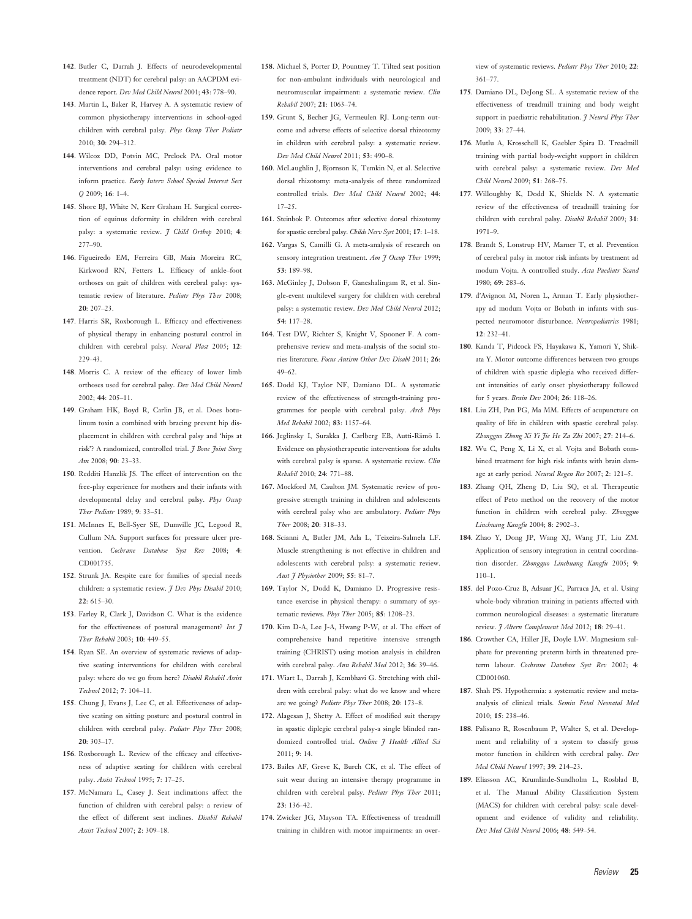- 142. Butler C, Darrah J. Effects of neurodevelopmental treatment (NDT) for cerebral palsy: an AACPDM evidence report. Dev Med Child Neurol 2001; 43: 778–90.
- 143. Martin L, Baker R, Harvey A. A systematic review of common physiotherapy interventions in school-aged children with cerebral palsy. Phys Occup Ther Pediatr 2010; 30: 294–312.
- 144. Wilcox DD, Potvin MC, Prelock PA. Oral motor interventions and cerebral palsy: using evidence to inform practice. Early Interv School Special Interest Sect  $Q$  2009; 16: 1–4
- 145. Shore BJ, White N, Kerr Graham H. Surgical correction of equinus deformity in children with cerebral palsy: a systematic review. *J Child Orthop* 2010; 4: 277–90.
- 146. Figueiredo EM, Ferreira GB, Maia Moreira RC, Kirkwood RN, Fetters L. Efficacy of ankle–foot orthoses on gait of children with cerebral palsy: systematic review of literature. Pediatr Phys Ther 2008; 20: 207–23.
- 147. Harris SR, Roxborough L. Efficacy and effectiveness of physical therapy in enhancing postural control in children with cerebral palsy. Neural Plast 2005; 12: 229–43.
- 148. Morris C. A review of the efficacy of lower limb orthoses used for cerebral palsy. Dev Med Child Neurol 2002; 44: 205–11.
- 149. Graham HK, Boyd R, Carlin JB, et al. Does botulinum toxin a combined with bracing prevent hip displacement in children with cerebral palsy and 'hips at risk'? A randomized, controlled trial. 7 Bone Joint Surg  $Am$  2008; 90; 23–33.
- 150. Redditi Hanzlik JS. The effect of intervention on the free-play experience for mothers and their infants with developmental delay and cerebral palsy. Phys Occup Ther Pediatr 1989; 9: 33–51.
- 151. McInnes E, Bell-Syer SE, Dumville JC, Legood R, Cullum NA. Support surfaces for pressure ulcer prevention. Cochrane Database Syst Rev 2008; 4: CD001735.
- 152. Strunk JA. Respite care for families of special needs children: a systematic review. J Dev Phys Disabil 2010; 22: 615–30.
- 153. Farley R, Clark J, Davidson C. What is the evidence for the effectiveness of postural management? Int  $\hat{J}$ Ther Rehabil 2003; 10: 449–55.
- 154. Ryan SE. An overview of systematic reviews of adaptive seating interventions for children with cerebral palsy: where do we go from here? Disabil Rehabil Assist Technol 2012; 7: 104–11.
- 155. Chung J, Evans J, Lee C, et al. Effectiveness of adaptive seating on sitting posture and postural control in children with cerebral palsy. Pediatr Phys Ther 2008; 20: 303–17.
- 156. Roxborough L. Review of the efficacy and effectiveness of adaptive seating for children with cerebral palsy. Assist Technol 1995; 7: 17–25.
- 157. McNamara L, Casey J. Seat inclinations affect the function of children with cerebral palsy: a review of the effect of different seat inclines. Disabil Rehabil Assist Technol 2007; 2: 309–18.
- 158. Michael S, Porter D, Pountney T. Tilted seat position for non-ambulant individuals with neurological and neuromuscular impairment: a systematic review. Clin Rehabil 2007; 21: 1063–74.
- 159. Grunt S, Becher JG, Vermeulen RJ. Long-term outcome and adverse effects of selective dorsal rhizotomy in children with cerebral palsy: a systematic review. Dev Med Child Neurol 2011; 53: 490–8.
- 160. McLaughlin J, Bjornson K, Temkin N, et al. Selective dorsal rhizotomy: meta-analysis of three randomized controlled trials. Dev Med Child Neurol 2002; 44: 17–25.
- 161. Steinbok P. Outcomes after selective dorsal rhizotomy for spastic cerebral palsy. Childs Nerv Syst 2001; 17: 1–18.
- 162. Vargas S, Camilli G. A meta-analysis of research on sensory integration treatment.  $Am \nvert T$  Occup Ther 1999; 53: 189–98.
- 163. McGinley J, Dobson F, Ganeshalingam R, et al. Single-event multilevel surgery for children with cerebral palsy: a systematic review. Dev Med Child Neurol 2012; 54: 117–28.
- 164. Test DW, Richter S, Knight V, Spooner F. A comprehensive review and meta-analysis of the social stories literature. Focus Autism Other Dev Disabl 2011; 26: 49–62.
- 165. Dodd KJ, Taylor NF, Damiano DL. A systematic review of the effectiveness of strength-training programmes for people with cerebral palsy. Arch Phys Med Rehabil 2002; 83: 1157–64.
- 166. Jeglinsky I, Surakka J, Carlberg EB, Autti-Rämö I. Evidence on physiotherapeutic interventions for adults with cerebral palsy is sparse. A systematic review. Clin Rehabil 2010; 24: 771–88.
- 167. Mockford M, Caulton JM. Systematic review of progressive strength training in children and adolescents with cerebral palsy who are ambulatory. Pediatr Phys Ther 2008; 20: 318–33.
- 168. Scianni A, Butler JM, Ada L, Teixeira-Salmela LF. Muscle strengthening is not effective in children and adolescents with cerebral palsy: a systematic review. Aust J Physiother 2009; 55: 81–7.
- 169. Taylor N, Dodd K, Damiano D. Progressive resistance exercise in physical therapy: a summary of systematic reviews. Phys Ther 2005; 85: 1208–23.
- 170. Kim D-A, Lee J-A, Hwang P-W, et al. The effect of comprehensive hand repetitive intensive strength training (CHRIST) using motion analysis in children with cerebral palsy. Ann Rehabil Med 2012; 36: 39–46.
- 171. Wiart L, Darrah J, Kembhavi G. Stretching with children with cerebral palsy: what do we know and where are we going? Pediatr Phys Ther 2008; 20: 173–8.
- 172. Alagesan J, Shetty A. Effect of modified suit therapy in spastic diplegic cerebral palsy-a single blinded randomized controlled trial. Online J Health Allied Sci 2011; 9: 14.
- 173. Bailes AF, Greve K, Burch CK, et al. The effect of suit wear during an intensive therapy programme in children with cerebral palsy. Pediatr Phys Ther 2011; 23: 136–42.
- 174. Zwicker JG, Mayson TA. Effectiveness of treadmill training in children with motor impairments: an over-

view of systematic reviews. Pediatr Phys Ther 2010; 22: 361–77.

- 175. Damiano DL, DeJong SL. A systematic review of the effectiveness of treadmill training and body weight support in paediatric rehabilitation. 7 Neurol Phys Ther 2009; 33: 27–44.
- 176. Mutlu A, Krosschell K, Gaebler Spira D. Treadmill training with partial body-weight support in children with cerebral palsy: a systematic review. Dev Med Child Neurol 2009; 51: 268–75.
- 177. Willoughby K, Dodd K, Shields N. A systematic review of the effectiveness of treadmill training for children with cerebral palsy. Disabil Rehabil 2009; 31: 1971–9.
- 178. Brandt S, Lonstrup HV, Marner T, et al. Prevention of cerebral palsy in motor risk infants by treatment ad modum Vojta. A controlled study. Acta Paediatr Scand 1980; 69: 283–6.
- 179. d'Avignon M, Noren L, Arman T. Early physiotherapy ad modum Vojta or Bobath in infants with suspected neuromotor disturbance. Neuropediatrics 1981; 12: 232–41.
- 180. Kanda T, Pidcock FS, Hayakawa K, Yamori Y, Shikata Y. Motor outcome differences between two groups of children with spastic diplegia who received different intensities of early onset physiotherapy followed for 5 years. Brain Dev 2004; 26: 118–26.
- 181. Liu ZH, Pan PG, Ma MM. Effects of acupuncture on quality of life in children with spastic cerebral palsy. Zhongguo Zhong Xi Yi Jie He Za Zhi 2007; 27: 214–6.
- 182. Wu C, Peng X, Li X, et al. Vojta and Bobath combined treatment for high risk infants with brain damage at early period. Neural Regen Res 2007; 2: 121–5.
- 183. Zhang QH, Zheng D, Liu SQ, et al. Therapeutic effect of Peto method on the recovery of the motor function in children with cerebral palsy. Zhongguo Linchuang Kangfu 2004; 8: 2902–3.
- 184. Zhao Y, Dong JP, Wang XJ, Wang JT, Liu ZM. Application of sensory integration in central coordination disorder. Zhongguo Linchuang Kangfu 2005; 9: 110–1.
- 185. del Pozo-Cruz B, Adsuar JC, Parraca JA, et al. Using whole-body vibration training in patients affected with common neurological diseases: a systematic literature review. *I Altern Complement Med* 2012: 18: 29-41.
- 186. Crowther CA, Hiller JE, Doyle LW. Magnesium sulphate for preventing preterm birth in threatened preterm labour. Cochrane Database Syst Rev 2002; 4: CD001060.
- 187. Shah PS. Hypothermia: a systematic review and metaanalysis of clinical trials. Semin Fetal Neonatal Med 2010; 15: 238–46.
- 188. Palisano R, Rosenbaum P, Walter S, et al. Development and reliability of a system to classify gross motor function in children with cerebral palsy. Dev Med Child Neurol 1997; 39: 214–23.
- 189. Eliasson AC, Krumlinde-Sundholm L, Rosblad B, et al. The Manual Ability Classification System (MACS) for children with cerebral palsy: scale development and evidence of validity and reliability. Dev Med Child Neurol 2006; 48: 549–54.